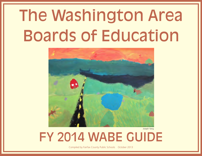# The Washington Area Boards of Education



Joseph Yang

FY 2014 WABE GUIDE

Compiled by Fairfax County Public Schools October 2013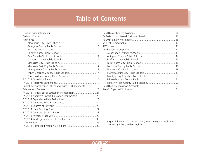# **Table of Contents**

| Highlights                                                  |
|-------------------------------------------------------------|
|                                                             |
|                                                             |
|                                                             |
|                                                             |
|                                                             |
|                                                             |
|                                                             |
|                                                             |
|                                                             |
|                                                             |
|                                                             |
|                                                             |
|                                                             |
| English for Speakers of Other Languages (ESOL) Students  18 |
|                                                             |
| FY 2013 Actual Special Education Membership 21              |
| FY 2014 Approved Special Education Membership 22            |
|                                                             |
|                                                             |
|                                                             |
|                                                             |
|                                                             |
|                                                             |
|                                                             |
|                                                             |
|                                                             |

A special thank you to our cover artist, Joseph Yang from Eagle View Elementary School, Fairfax, Virginia.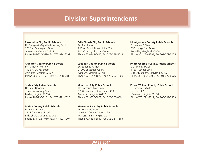### **Division Superintendents**

#### <span id="page-2-0"></span>**Alexandria City Public Schools**

Dr. Margaret May Walsh, Acting Supt. 2000 N. Beauregard Street Alexandria, Virginia 22311 Phone 703-824-6610, Fax 703-824-6699

#### **Arlington County Public Schools**

Dr. Patrick K. Murphy 1426 N. Quincy Street Arlington, Virginia 22207 Phone 703-228-8634, Fax 703-228-6188

#### **Fairfax City Public Schools**

Dr. Peter Noonan 10455 Armstrong Street Fairfax, Virginia 22030 Phone 703-293-7131, Fax 703-691-2028

#### **Fairfax County Public Schools**

Dr. Karen K. Garza 8115 Gatehouse Road Falls Church, Virginia 22042 Phone 571-423-1010, Fax 571-423-1007

#### **Falls Church City Public Schools**

Dr. Toni Jones 800 W. Broad Street, Suite 203 Falls Church, Virginia 22046 Phone 703-248-5617, Fax 703-248-5613

#### **Loudoun County Public Schools**

Dr. Edgar B. Hatrick 21000 Education Court Ashburn, Virginia 20148 Phone 571-252-1020, Fax 571-252-1003

#### **Manassas City Public Schools**

Dr. Catherine Magouyrk 8700 Centreville Road, Suite 400 Manassas, Virginia 20110 Phone 571-377-6008, Fax 703-257-8801

#### **Manassas Park City Public Schools**

Dr. Bruce McDade One Park Center Court; Suite A Manassas Park, Virginia 20111 Phone 703-335-8850, Fax 703-361-4583

#### **Montgomery County Public Schools**

Dr. Joshua P. Starr 850 Hungerford Drive Rockville, Maryland 20850 Phone 301-279-3381, Fax 301-279-3205

#### **Prince George's County Public Schools**

Dr. Kevin Maxwell 14201 School Lane Upper Marlboro, Maryland 20772 Phone 301-952-6008, Fax 301-627-6576

#### **Prince William County Public Schools**

Dr. Steven L. Walts P.O. Box 389 Manassas, Virginia 20108 Phone 703-791-8712, Fax 703-791-7309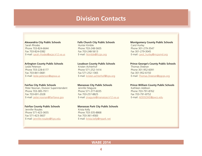### **Division Contacts**

<span id="page-3-0"></span>**Alexandria City Public Schools** Sarah Rhodes Phone 703-824-6644 Fax 703-824-0382 E-mail: [sarah.rhodes@acps.k12.va.us](mailto:sarah.rhodes@acps.k12.va.us)

#### **Arlington County Public Schools**

Leslie Peterson Phone 703-228-6177 Fax 703-841-0681 E-mail: [leslie.peterson@apsva.us](mailto:leslie.peterso@apsva.us)

#### **Fairfax City Public Schools**

Peter Noonan, Division Superintendent Phone 703-385-7911 Fax 703-691-2028 E-mail: peter.noonan[@fairfaxva.gov](mailto:ann.monday@fairfaxva.gov)

#### **Fairfax County Public Schools**

Jennifer Rosales Phone 571-423-3655 Fax 571-423-3607 E-mail: [jennifer.rosales@fcps.edu](mailto:jennifer.rosales@fcps.edu)

#### **Falls Church City Public Schools** Hunter Kimble Phone 703-248-5605 Fax 703-248-5613 E-mail: [hkimble@fccps.org](mailto:hkimble@fccps.org)

#### **Loudoun County Public Schools**

Kristen Achterhof Phone 571-252-1414 Fax 571-252-1365 E-mail: [kristen.achterhof@l](mailto:kristen.achterhof@lcps.org)cps.org

#### **Manassas City Public Schools**

Jennifer Maguire Phone 571-377-6035 Fax 703-257-8825 E-mail: [jmaguire@manassas.k12.va.us](mailto:jmaguire@manassas.k12.va.us)

#### **Manassas Park City Public Schools**

Krista Kelly Phone 703-335-8868 Fax 703-361-4583 E-mail:[krista.kelly@mpark.net](mailto:krista.kelly@mpark.net) **Montgomery County Public Schools** Carol Hurley Phone 301-279-3547 Fax 301-279-3045 E-mail:[carol\\_hurley@mcpsmd.org](mailto:carol_hurley@mcpsmd.org)

#### **Prince George's County Public Schools**

Thomas Sheeran Phone 301-952-6091 Fax 301-952-6150 E-mail: [Thomas.Sheeran@pgcps.org](mailto:Thomas.Sheeran@pgcps.org)

#### **Prince William County Public Schools**

Kathleen Addison Phone 703-791-8762 Fax 703-791-8752 E-mail: ADDISOKE@pwcs.edu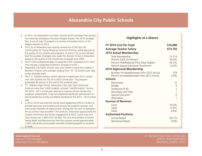### **Alexandria City Public Schools**

- <span id="page-4-0"></span>• In 2012, the Alexandria City Public Schools (ACPS) Strategic Plan earned the nationally prestigious first-place Magna Award. The ACPS Strategic Plan is one of only 15 programs to receive a first-place honor in the Magna Awards for 2012.
- The City of Alexandria was recently named one of the Top 100 Communities for Young People by America's Promise, partly because of the quality of our schools and programs. A recent City survey indicates that the number of people who made the decision to live in Alexandria based on the quality of the schools has increased since 2004.
- The FY 2014 Adopted Budget increases by 3.9% compared to FY 2013. This includes a projected enrollment increase of 4.4%.
- Alexandria City Public Schools class sizes remain among the smallest in Northern Virginia with averages ranging from 18 - 24 students per class across all grade levels.
- The T. C. Satellite campus, which opened in September 2012, served over 100 students for the 2012-2013 school year. The program graduated 40 seniors at the end of the academic year.
- T.C. Williams High School, Alexandria City's only high school and home to more than 3,000 students, entered "transformation" during the 2010 - 2011 school year seeking to improve school climate and academic achievement. It has accomplished significant achievement as demonstrated by its fully accredited standing for the 2013 - 2014 school year.
- In 2012, ACPS launched the Family and Engagement (FACE) Centers to provide resources and wraparound services for students, parents, and community members at regional sites. During the first year of operation, the six centers have provided 176 hands-on, interactive opportunities for student enrichment and family engagement at FACE Center sites and have served over 1,800 ACPS families. The 2nd Annual Back to School Family Night and Resource Fair held this summer served approximately 2,500 individuals and provided over 800 stuffed backpacks to students in need.

#### **Highlights at a Glance**

| FY 2014 Cost Per Pupil                     | \$16,880 |
|--------------------------------------------|----------|
| <b>Average Teacher Salary</b>              | \$73,705 |
| 2013 Actual Membership                     |          |
| Total Membership                           | 13,114   |
| Percent ESOL Enrollment                    | 24.4%    |
| Percent Free/Reduced Price Meal Eligible   | 56.2%    |
| Percent Special Education Enrollment       | 13.0%    |
| <b>2014 Approved Membership</b>            |          |
| Number Increase/Decrease from 2013 Actual  | 578      |
| Percent Increase/Decrease from 2013 Actual | 4.4%     |
| <b>Schools</b>                             |          |
| Elementary                                 | 12       |
| Middle                                     | 5        |
| Traditional (K-8)                          | 1        |
| Secondary and High                         | 1        |
| Special Education                          | 0        |
| Alternative                                | 1        |
| <b>Sources of Revenue</b>                  |          |
| Local                                      | 79.3%    |
| State                                      | 13.9%    |
| Other                                      | 6.8%     |
| <b>Authorized Positions</b>                |          |
| School-Based                               | 90.1%    |
| Nonschool-Based                            | 9.9%     |
|                                            |          |

Link to FY 2014 Budget: **[www.acps.k12.va.us](http://www.acps.k12.va.us)** [www.acps.k12.va.us/budgets/](http://www.acps.k12.va.us/budgets/) Dr. Margaret May Walsh, Acting Supt. 2000 N. Beauregard Street Alexandria, Virginia 22311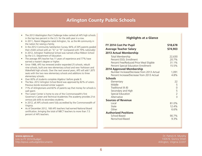### **Arlington County Public Schools**

- <span id="page-5-0"></span>• The 2013 *Washington Post* Challenge Index ranked all APS high schools in the top two percent in the U.S. for the sixth year in a row.
- In 2011, *Parent Magazine* rated Arlington, Va. as the #4 community in the nation for raising a family.
- In the 2012 Community Satisfaction Survey, 94% of APS parents graded their child's school with an "A" or "B" (compared with 79% nationally)
- In 2012, Arlington Traditional School was named a Blue Ribbon School by the U.S. Department of Education.
- The average APS teacher has 11 years of experience and 77% have earned a master's degree or higher.
- Since 1988, APS has renewed and/or expanded 25 schools, rebuilt nine schools, built one new elementary school and new Yorktown and Wakefield high schools. Over the next several years, APS will add 1,875 seats with the two new elementary schools and additions to three elementary schools.
- Over 60% of students complete Algebra I before grade 9.
- The Nov. 2012 Arlington School Bond was approved by 82% of voters. Previous bonds received similar support.
- 71% of Arlingtonians and 82% of parents say that money for schools is well spent.
- The Career Center is home to one of the Commonwealth's first Governor's Career and Technical Academies.The academy provides 21st century job skills to secondary students.
- In 2012, all APS schools were fully accredited by the Commonwealth of Virginia.
- As of December 2012, 168 APS teachers had earned National Board certification, bringing the total of NBCT teachers to more than 7.5 percent of APS teachers.

#### **Highlights at a Glance**

| FY 2014 Cost Per Pupil                     | \$18,678       |
|--------------------------------------------|----------------|
| <b>Average Teacher Salary</b>              | \$74,903       |
| 2013 Actual Membership                     |                |
| Total Membership                           | 22,630         |
| Percent ESOL Enrollment                    | 20.7%          |
| Percent Free/Reduced Price Meal Eligible   | 31.1%          |
| Percent Special Education Enrollment       | 15.5%          |
| 2014 Approved Membership                   |                |
| Number Increase/Decrease from 2013 Actual  | 1,091          |
| Percent Increase/Decrease from 2013 Actual | 4.8%           |
| <b>Schools</b>                             |                |
| Elementary                                 | 22             |
| Middle                                     | 5              |
| Traditional (K-8)                          | $\mathbf 0$    |
| Secondary and High                         |                |
| Special Education                          | $\frac{5}{2}$  |
| Alternative                                | $\overline{3}$ |
| <b>Sources of Revenue</b>                  |                |
| Local                                      | 81.0%          |
| State                                      | 12.4%          |
| Other                                      | 6.6%           |
| <b>Authorized Positions</b>                |                |
| School-Based                               | 90.7%          |
| Nonschool-Based                            | 9.3%           |

Link to FY 2014 Budget: **[www.apsva.us](http://www.apsva.us)** <http://apsva.us/budget/documents>

Dr. Patrick K. Murphy 1426 N. Quincy Street Arlington, Virginia 22207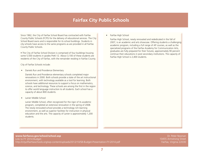### **Fairfax City Public Schools**

<span id="page-6-0"></span>Since 1962, the City of Fairfax School Board has contracted with Fairfax County Public Schools (FCPS) for the delivery of educational services. The City School Board owns and is responsible for its school buildings. Students in city schools have access to the same programs as are provided in all Fairfax County Public Schools.

• The City of Fairfax School Division is comprised of four buildings housing some 5,500 students in grades PreK-12. About 3,100 of these students are residents of the City of Fairfax, with the remainder residing in Fairfax County.

City of Fairfax Schools include:

• Daniels Run and Providence Elementary

Daniels Run and Providence elementary schools completed major renovations in 2000. Both schools provide a state of the art instructional environment, with technology available as a tool for learning. Both schools have additional resources to support a focus on mathematics, science, and technology. These schools are among the first in the region to offer world language instruction to all students. Each school has a capacity of about 800 students.

• Lanier Middle School

Lanier Middle School, often recognized for the rigor of its academic program, completed an extensive renovation in the spring of 2008. The newly renovated school provides a technology rich learning environment, as well as superior facilities for instruction in physical education and the arts. The capacity of Lanier is approximately 1,200 students.

#### • Fairfax High School

Fairfax High School, newly renovated and rededicated in the fall of 2007, is an academic and arts showcase. Offering students a challenging academic program, including a full range of AP courses, as well as the specialized programs of the Fairfax Academy for Communication Arts, graduates are fully prepared for their futures; approximately 90 percent continue their educations in post secondary institutions. The capacity of Fairfax High School is 2,400 students.

Dr. Peter Noonan 10455 Armstrong Street Fairfax, Virginia 22030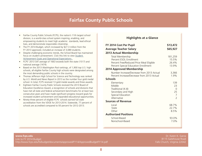### **Fairfax County Public Schools**

- <span id="page-7-0"></span>• Fairfax County Public Schools (FCPS), the nation's 11th largest school division, is a world-class school system inspiring, enabling, and empowering students to meet high academic standards, lead ethical lives, and demonstrate responsible citizenship.
- The FY 2014 Budget, which increased by \$27.3 million from the FY 2013 approved, included an increase of 3,089 students.
- Despite challenging economic trends, the School Board has maintained focus on student achievement. Click this link to view [Student](http://www.fcps.edu/schlbd/monitoringreports/monitoring.shtml)  [Achievement Goals and Operational Expectations .](http://www.fcps.edu/schlbd/monitoringreports/monitoring.shtml)
- FCPS' 2013 SAT average of 1663 exceeds both the state (1517) and national average (1474).
- Based on the 2013 *Washington Post* rankings, of 1,900 top U.S. high schools, all eligible Fairfax County high schools were designated among the most demanding public schools in the country.
- Thomas Jefferson High School for Science and Technology was ranked by *U.S. World and News Report* in 2013 as the number four gold medal school. In total, FCPS received 13 gold medal awards and three awards.
- Eighteen Fairfax County Public Schools received the 2013 Board of Education Excellence Award, a recognition of schools and divisions that have met all state and federal achievement benchmarks for at least two consecutive years and have made significant progress toward goals for increased student achievement and expanded educational opportunities.
- Ninety-three percent of eligible FCPS schools earned full state accreditation from the VDOE for 2013-2014. Statewide, 77 percent of schools are accredited compared to 93 percent for 2012-2013.

#### **Highlights at a Glance**

| FY 2014 Cost Per Pupil                                                                                                                                      | \$13,472                                    |
|-------------------------------------------------------------------------------------------------------------------------------------------------------------|---------------------------------------------|
| <b>Average Teacher Salary</b>                                                                                                                               | \$65,927                                    |
| <b>2013 Actual Membership</b>                                                                                                                               |                                             |
| Total Membership<br>Percent ESOL Enrollment<br>Percent Free/Reduced Price Meal Eligible<br>Percent Special Education Enrollment<br>2014 Approved Membership | 181,259<br>15.5%<br>26.4%<br>13.9%          |
| Number Increase/Decrease from 2013 Actual<br>Percent Increase/Decrease from 2013 Actual                                                                     | 3,366<br>1.9%                               |
| <b>Schools</b>                                                                                                                                              |                                             |
| Elementary<br>Middle<br>Traditional (K-8)<br>Secondary and High<br>Special Education<br>Alternative                                                         | 139<br>23<br>0<br>25<br>7<br>$\overline{2}$ |
| <b>Sources of Revenue</b>                                                                                                                                   |                                             |
| Local<br>State<br>Other                                                                                                                                     | 68.7%<br>22.7%<br>8.5%                      |
| <b>Authorized Positions</b>                                                                                                                                 |                                             |
| School-Based<br>Nonschool-Based                                                                                                                             | 93.0%<br>7.0%                               |

Dr. Karen K. Garza 8115 Gatehouse Road Falls Church, Virginia 22042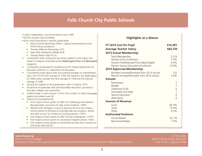### **Falls Church City Public Schools**

<span id="page-8-0"></span>A small, independent, city school division since 1949.

- All four schools fully accredited.
- Each school specializes in specific grade levels:
	- Mount Daniel Elementary (PreK-1, Special needs preschool and family literacy programs)
	- Thomas Jefferson Elementary (2-5)
	- Mary Ellen Henderson Middle (6-8)
	- George Mason High (9-12)
- Consistently ranks among the top school systems in the region and nation in analyses conducted by the *Washington Post* and *Newsweek* magazine.
- Consistently recognized for excellence by the Virginia Department of Education and the U.S. Department of Education.
- Consistently scores above state and national averages on standardized tests. 2013 FCCPS SAT average of 1764, the highest in the Washington DC Metro area, exceeds the state average of 1528 and the national average of 1498.
- Among the highest on-time graduation rates in Virginia: 97%.
- 93 percent of graduates seek post-secondary education, primarily in four-year colleges and universities.
- Student body is multi-cultural. In 2012, the number of native languages spoken by students was 36.
- Historical Accomplishments
	- First Virginia school system to offer the challenging International Baccalaureate curriculum for high school students. (1981)
	- Worked with Arlington County to become the first two Virginia school systems to develop an extended day-care program, before and after school, for children of working parents. (1975)
	- First Virginia school system to offer full-day kindergarten. (1973)
	- First Virginia school system to voluntarily integrate schools (1961)
	- First Virginia school system to install external Stop Arm Cameras on school bus fleet (2013)

#### **Highlights at a Glance**

| FY 2014 Cost Per Pupil                     | \$16,991       |
|--------------------------------------------|----------------|
| <b>Average Teacher Salary</b>              | \$64,750       |
| 2013 Actual Membership                     |                |
| Total Membership                           | 2,274          |
| Percent ESOL Enrollment                    | 7.0%           |
| Percent Free/Reduced Price Meal Eligible   | 6.6%           |
| Percent Special Education Enrollment       | 13.9%          |
| 2014 Approved Membership                   |                |
| Number Increase/Decrease from 2013 Actual  | 122            |
| Percent Increase/Decrease from 2013 Actual | 5.4%           |
| <b>Schools</b>                             |                |
| Elementary                                 | 2              |
| Middle                                     | $\overline{1}$ |
| Traditional (K-8)                          | 0              |
| Secondary and High                         | 1              |
| Special Education                          | 0              |
| Alternative                                | $\Omega$       |
| <b>Sources of Revenue</b>                  |                |
| Local                                      | 82.3%          |
| State                                      | 13.4%          |
| Other                                      | 4.3%           |
| <b>Authorized Positions</b>                |                |
| School-Based                               | 92.1%          |
| Nonschool-Based                            | 7.9%           |
|                                            |                |

Dr. Toni Jones 800 W. Broad Street, Suite 203 Falls Church, Virginia 22046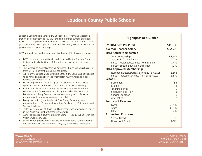### **Loudoun County Public Schools**

<span id="page-9-0"></span>Loudoun County Public Schools (LCPS) opened Discovery and Moorefield Station elementary schools in 2013, bringing the total number of schools to 84. The LCPS projected enrollment is 70,855 as compared with 68,289 a year ago. The FY 2014 operating budget is \$843,672,450, an increase of 2.5 percent over the FY 2013 budget.

LCPS academic success has continued despite the difficult economic times:

- LCPS has ten Schools to Watch, as determined by the National Forum to Accelerate Middle Grades Reform, the most of any jurisdiction in America.
- The number of students attaining Advanced Studies Diplomas has risen from 54 to 71 percent during the last decade.
- All 12 of the Loudoun County Public Schools (LCPS) high schools eligible to be ranked nationally by *The Washington Post's* Challenge Index received this honor in 2013.
- Nearly 70 percent of the 7,000-plus LCPS students with disabilities spend 80 percent or more of their school day in inclusive settings.
- Park View's Library Media Center was selected as a recipient of the National Medal for Museum and Library Service by The Institute of Museum and Library Services, the highest award given to American museums and libraries for service to the public.
- Marcy Lyle, a first grade teacher at Cool Spring Elementary was nominated for the Presidential Award for Excellence in Mathematics and Science Teaching.
- Taylor Klein, a senior at Broad Run High School, was selected as a finalist in the Prudential Spirit of Community Awards.
- Akhil Rekulapellli, a seventh-grader at Stone Hill Middle School, won the Virginia Geography Bee.
- Seven eighth-graders from J. Michael Lunsford Middle School students took third place in the World Finals Odyssey of the Mind Competition.

#### **Highlights at a Glance**

| FY 2014 Cost Per Pupil                     | \$11,638      |
|--------------------------------------------|---------------|
| <b>Average Teacher Salary</b>              | \$62,978      |
| <b>2013 Actual Membership</b>              |               |
| Total Membership                           | 68,289        |
| Percent ESOL Enrollment                    | 7.7%          |
| Percent Free/Reduced Price Meal Eligible   | 17.4%         |
| Percent Special Education Enrollment       | 11.7%         |
| <b>2014 Approved Membership</b>            |               |
| Number Increase/Decrease from 2013 Actual  | 2,566         |
| Percent Increase/Decrease from 2013 Actual | 3.8%          |
| <b>Schools</b>                             |               |
| Elementary                                 | 55            |
| Middle                                     | 14            |
| Traditional (K-8)                          | $\Omega$      |
| Secondary and High                         | 13            |
| Special Education                          | 0             |
| Alternative                                | $\mathcal{P}$ |
| <b>Sources of Revenue</b>                  |               |
| Local                                      | 65.1%         |
| State                                      | 31.1%         |
| Other                                      | 3.7%          |
| <b>Authorized Positions</b>                |               |
| School-Based                               | 93.1%         |
| Nonschool-Based                            | 6.9%          |

Link to FY 2014 Budget: **[www.lcps.org](http://www.lcps.org)** <http://www.lcps.org/page/1078>

Dr. Edgar B. Hatrick 21000 Education Court Ashburn, Virginia 20148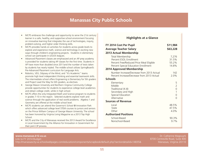### **Manassas City Public Schools**

- <span id="page-10-0"></span>MCPS embraces the challenge and opportunity to serve the 21st century learner in a safe, healthy, and supportive school environment focusing on innovative learning that integrates the use of technologies, inquiry, problem-solving, and higher order thinking skills.
- MCPS provides hands on activities for students across grade levels to explore and experience math, science and technology in exciting new ways through children's engineering projects. Students in elementary school can participate in LEGOS leagues.
- Advanced Placement classes are emphasized and an AP prep academy is provided for students taking AP classes for the first time. Students in AP have more than doubled since 2011and the number of tests taken by students has nearly tripled. The middle school utilizes SpringBoard's Pre-Advanced Placement curriculum for Language Arts.
- Robotics, VEX, Odyssey of the Mind, and "It's Academic" teams promote high level independent thinking and essential teamwork skills. The intermediate school offers Engineering is Elementary for 5th graders and Project Lead the Way for 6th graders, as electives.
- George Mason University and Northern Virginia Community College provide opportunities for students to experience college level academics and obtain college credit, while in high school.
- MCPS offers the only Integrated Math and Science program to students in grades 7-10 in the region. Selected students explore math and science through the application of real world problems. Algebra 1 and Geometry are offered at the middle school level.
- MCPS students can attend the Governor's School @ Innovation Park which offers advanced college level STEM courses to juniors and seniors on the Prince William Campus of George Mason University. The school has been honored by Virginia Living Magazine as a 2013 Top High School.
- MCPS and the City of Manassas received the 2013 Award for Excellence in Local Government by the Alliance for Innovation in Government for their joint CIP process.

#### **Highlights at a Glance**

| FY 2014 Cost Per Pupil                     | \$11,984       |
|--------------------------------------------|----------------|
| <b>Average Teacher Salary</b>              | \$63,228       |
| 2013 Actual Membership                     |                |
| Total Membership                           | 7,276          |
| Percent ESOL Enrollment                    | 31.5%          |
| Percent Free/Reduced Price Meal Eligible   | 55.2%          |
| Percent Special Education Enrollment       | 14.8%          |
| 2014 Approved Membership                   |                |
| Number Increase/Decrease from 2013 Actual  | 142            |
| Percent Increase/Decrease from 2013 Actual | 2.0%           |
| <b>Schools</b>                             |                |
| Elementary                                 | 5              |
| Middle                                     | $\overline{2}$ |
| Traditional (K-8)                          | 0              |
| Secondary and High                         | $\mathbf{1}$   |
| Special Education                          | 0              |
| Alternative                                | $\Omega$       |
| <b>Sources of Revenue</b>                  |                |
| Local                                      | 48.5%          |
| State                                      | 47.5%          |
| Other                                      | 4.0%           |
| <b>Authorized Positions</b>                |                |
| School-Based                               | 90.3%          |
| Nonschool-Based                            | 9.7%           |
|                                            |                |

Dr. Catherine Magouyrk 8700 Centreville Road, Suite 400 Manassas, Virginia 20110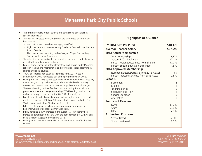### **Manassas Park City Public Schools**

- <span id="page-11-0"></span>The division consists of four schools and each school specializes in specific grade levels.
- Teachers in Manassas Park City Schools are committed to continuous improvement:
	- 96.76% of MPCS teachers are highly qualified
	- Eight teachers and one elementary Guidance Counselor are National Board Certified
	- Nine teachers are Washington Post's Agnes Meyer Outstanding Teacher of the Year Recipients
- The city's diversity extends into the school system where students speak over 40 different languages at home.
- Parallel block scheduling at the elementary level lowers student/teacher ratios in reading and mathematics and provides specialized learning in science and social studies.
- 100% of Kindergarten students identified for PALS services in September of 2012 had tested out of the program by May 2013.
- During the 2012-2013 school year, MPES implemented Project Discovery days where, one day each quarter, students worked collaboratively to develop and present solutions to real world problems and challenges. The overwhelming positive feedback was the driving force behind a permanent schedule change embedding STEM learning labs into the daily elementary curriculum for the 2013-2014 school year.
- Middle school students could earn up to four high school credits and most earn two since 100% of 8th grade students are enrolled in Early World History and either Algebra I or Geometry
- MPCS has 10 students, including one sophomore, attending the Regional Governor's School at innovation Park.
- MPHS achieved a 17% increase in the average AP test score while increasing participation by 53% with the administration of 332 AP tests in 18 different subjects during spring 2012.
- Pre-AP, AP, or Dual Enrollment classes are taken by 92% of high school students

#### **Highlights at a Glance**

| FY 2014 Cost Per Pupil                                                                                                                                                                                          | \$10,173                                                  |
|-----------------------------------------------------------------------------------------------------------------------------------------------------------------------------------------------------------------|-----------------------------------------------------------|
| <b>Average Teacher Salary</b>                                                                                                                                                                                   | \$57,993                                                  |
| 2013 Actual Membership                                                                                                                                                                                          |                                                           |
| Total Membership<br>Percent ESOL Enrollment<br>Percent Free/Reduced Price Meal Eligible<br>Percent Special Education Enrollment<br><b>2014 Approved Membership</b><br>Number Increase/Decrease from 2013 Actual | 3,171<br>37.1%<br>57.0%<br>11.8%<br>89                    |
| Percent Increase/Decrease from 2013 Actual                                                                                                                                                                      | 2.8%                                                      |
| <b>Schools</b>                                                                                                                                                                                                  |                                                           |
| Elementary<br>Middle<br>Traditional (K-8)<br>Secondary and High<br>Special Education<br>Alternative<br><b>Sources of Revenue</b>                                                                                | $\overline{2}$<br>$\mathbf{1}$<br>0<br>1<br>0<br>$\Omega$ |
| Local<br>State<br>Other<br><b>Authorized Positions</b><br>School-Based<br>Nonschool-Based                                                                                                                       | 32.2%<br>60.0%<br>7.8%<br>92.3%<br>7.7%                   |
|                                                                                                                                                                                                                 |                                                           |

Dr. Bruce McDade One Park Ctr. Ct., Suite A Manassas Park, VA 20111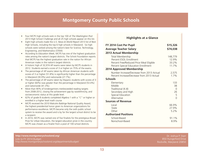### **Montgomery County Public Schools**

- <span id="page-12-0"></span>• Four MCPS high schools rank in the top 100 of *The Washington Post* 2013 High School Challenge and all 25 high schools appear on this list.
- Eight high schools made the *U.S. News & World Report* 2013 list of Best High Schools, including the top 6 high schools in Maryland. Six high schools were ranked among the nation's best for Science, Technology, Engineering, and Mathematics (STEM).
- According to *Education Week*, MCPS has one of the highest graduation rates among the nation's largest districts. The Schott Foundation reports that MCPS has the highest graduation rate in the nation for African American males in the nation's largest districts.
- A historic high of 32,974 AP exams were taken by MCPS students in 2012. Students earned a score of 3 or higher on 75% of the exams.
- The percentage of AP exams taken by African American students with scores of 3 or higher (51.8%) is significantly higher than the percentage in Maryland (30.9%) and nationwide (27.7%).
- The percentage of AP exams taken by Hispanic students with scores of 3 or higher (60%) was greater than the percentage in Maryland (53.4%) and nationwide (41.3%).
- More than 90% of kindergartners met/exceeded reading targets from 2008-2012, closing the achievement gap by race/ethnicity, and socioeconomic status at this grade level.
- 62% of grade 8 students completed Algebra 1 with a "C" or higher or enrolled in a higher level math course
- MCPS received the 2010 Malcolm Baldrige National Quality Award, the highest presidential honor given to American organizations for performance excellence. MCPS became only the sixth public school system to receive the award and is by far the largest school district to be a recipient.
- In 2010, MCPS was named one of five finalists for the prestigious Broad Prize for Urban Education, the largest education prize in the country. MCPS was chosen as a finalist from a pool of 100 school districts.

#### **Highlights at a Glance**

| FY 2014 Cost Per Pupil                                                                                                                                                                                                                                        | \$15,326                                            |
|---------------------------------------------------------------------------------------------------------------------------------------------------------------------------------------------------------------------------------------------------------------|-----------------------------------------------------|
| <b>Average Teacher Salary</b>                                                                                                                                                                                                                                 | \$74,038                                            |
| 2013 Actual Membership                                                                                                                                                                                                                                        |                                                     |
| Total Membership<br>Percent ESOL Enrollment<br>Percent Free/Reduced Price Meal Eligible<br>Percent Special Education Enrollment<br><b>2014 Approved Membership</b><br>Number Increase/Decrease from 2013 Actual<br>Percent Increase/Decrease from 2013 Actual | 148,779<br>12.9%<br>33.2%<br>11.7%<br>2,575<br>1.7% |
| <b>Schools</b>                                                                                                                                                                                                                                                |                                                     |
| Elementary<br>Middle<br>Traditional (K-8)<br>Secondary and High<br>Special Education<br>Alternative                                                                                                                                                           | 133<br>38<br>$\Omega$<br>26<br>5<br>$\Omega$        |
| <b>Sources of Revenue</b>                                                                                                                                                                                                                                     |                                                     |
| Local<br>State<br>Other                                                                                                                                                                                                                                       | 66.9%<br>27.9%<br>5.2%                              |
| <b>Authorized Positions</b>                                                                                                                                                                                                                                   |                                                     |
| School-Based<br>Nonschool-Based                                                                                                                                                                                                                               | 91.1%<br>8.9%                                       |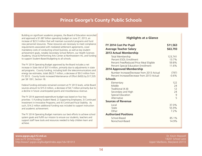### **Prince George's County Public Schools**

<span id="page-13-0"></span>Building on significant academic progress, the Board of Education reconciled and approved a \$1.687 billion operating budget on June 27, 2013, an increase of \$23.3 million that will maintain successful programs and fund new personnel resources. These resources are necessary to meet compliance requirements associated with mediated settlement agreements, cover mandatory costs of conducting school business, as well as key student achievement goals, notably Secondary School Reform, our Health Sciences Academy, Visual & Performing Arts Center at Northwestern HS, and funding to support Student-Based Budgeting to all schools.

The FY 2014 Operating Budget approved by the Board includes a net increase in State Aid of \$37.4 million, primarily due to adjustments in state aid programs. County funding, including both the telecommunications and energy tax estimates, totals \$623.7 million, a decrease of \$9.3 million from FY 2013. County funds increased Maintenance of Effort (MOE) by \$17,535 per SB 1301, Section 18.

Federal funding estimates remained constant at FY 2013 levels, while Board sources amount to \$15.0 million, a decrease of \$4.7 million primarily due to a decline in future unanticipated grants and miscellaneous revenue.

The FY 2014 approved expenditure budget was based on four key priorities: 1) Funding Student Need; 2) Supporting Employees; 3) Continued Investment in Innovative Programs; and 4) Continued Fiscal Stability. As such, \$14.2 million additional funding was included to support instruction and academic achievement.

The FY 2014 Operating Budget maintains our best efforts to achieve school system goals and fulfill our mission to ensure our students, teachers and support staff have tools and resources needed to help children learn and achieve.

#### **Highlights at a Glance**

| FY 2014 Cost Per Pupil                     | \$11,563 |
|--------------------------------------------|----------|
| <b>Average Teacher Salary</b>              | \$63,793 |
| <b>2013 Actual Membership</b>              |          |
| Total Membership                           | 123,741  |
| Percent ESOL Enrollment                    | 13.7%    |
| Percent Free/Reduced Price Meal Eligible   | 59.8%    |
| Percent Special Education Enrollment       | 11.6%    |
| 2014 Approved Membership                   |          |
| Number Increase/Decrease from 2013 Actual  | (797)    |
| Percent Increase/Decrease from 2013 Actual | $-0.6%$  |
| <b>Schools</b>                             |          |
| Elementary                                 | 122      |
| Middle                                     | 24       |
| Traditional (K-8)                          | 12       |
| Secondary and High                         | 24       |
| Special Education                          | 9        |
| Alternative                                | 5        |
| <b>Sources of Revenue</b>                  |          |
| Local                                      | 37.0%    |
| State                                      | 55.9%    |
| Other                                      | 7.2%     |
| <b>Authorized Positions</b>                |          |
| School-Based                               | 85.1%    |
| Nonschool-Based                            | 14.9%    |
|                                            |          |

Link to FY 2014 Budget: **[www.pgcps.pg.k12.md.us](http://www.pgcps.pg.k12.md.us)** http://www1.pgcps.org/budget/index.aspx?id=181013

Dr. Kevin Maxwell 14201 School Lane Upper Marlboro, Maryland 20772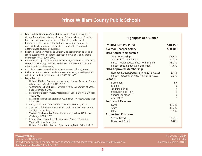### **Prince William County Public Schools**

- <span id="page-14-0"></span>• Launched the Governor's School @ Innovation Park, in concert with George Mason University and Manassas City and Manassas Park City Public Schools, providing advanced STEM study and research
- Implemented Teacher Incentive Performance Awards Program to enhance teaching and achievement in schools with economically disadvantaged student populations
- Received exemplary rating and Divisionwide accreditation as a quality school system by the Southern Association of Colleges and Schools (AdvancED SACS), 2007, 2012
- Implemented high speed internet connections, expanded use of wireless computer technology, and increased use of mobile computer labs in schools and for online testing
- Completed major renewals of 10 schools at a cost of \$63,066,000
- Built nine new schools and additions to nine schools, providing 8,986 additional student spaces at a cost of \$326,181,000
- Major Awards:
	- Nation's 100 Best Communities for Young People, America's Promise Alliance and ING, 2010, 2011, 2012
	- Outstanding School Business Official, Virginia Association of School Business Officials, 2012
	- Meritorious Budget Award, Association of School Business Officials, 1997-2013
	- Excellence in Financial Reporting, Govt. Finance Officers Association, 2003-2012
	- Energy Star Certification for four elementary schools, 2012
	- 2012 Best of the Web Award for K-12 Education Website, Center for Digital Education, 2012
	- Thirteen Gold Award of Distinction schools, HealthierUS School Challenge, USDA, 2012
	- Eleven schools earned Excellence Award, Board of Education, Virginia Dept. of Education
	- National STEM Education and Cyberlearning Model School, 2012

#### **Highlights at a Glance**

| FY 2014 Cost Per Pupil                     | \$10,158       |
|--------------------------------------------|----------------|
| Average Teacher Salary                     | \$60,408       |
| 2013 Actual Membership                     |                |
| Total Membership                           | 83,871         |
| Percent ESOL Enrollment                    | 21.5%          |
| Percent Free/Reduced Price Meal Eligible   | 38.2%          |
| Percent Special Education Enrollment       | 11.4%          |
| 2014 Approved Membership                   |                |
| Number Increase/Decrease from 2013 Actual  | 2,415          |
| Percent Increase/Decrease from 2013 Actual | 2.9%           |
| <b>Schools</b>                             |                |
| Elementary                                 | 57             |
| Middle                                     | 16             |
| Traditional (K-8)                          | $\mathcal{L}$  |
| Secondary and High                         | 11             |
| Special Education                          | 3              |
| Alternative                                | $\overline{2}$ |
| <b>Sources of Revenue</b>                  |                |
| Local                                      | 45.2%          |
| State                                      | 48.7%          |
| Other                                      | 6.1%           |
| <b>Authorized Positions</b>                |                |
| School-Based                               | 91.2%          |
| Nonschool-Based                            | 8.8%           |
|                                            |                |

Link to FY 2014 Budget: **[www.pwcs.edu](http://www.pwcs.edu)** http://financialservices.departments.pwcs.edu/modules/cms/pages.phtml?pageid=285650&sessionid= 32a2453a19ef32cb46a13cea385cfd67

Dr. Steven L. Walts P.O. Box 389 Manassas, Virginia 20108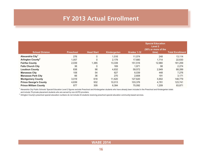### **FY 2013 Actual Enrollment**

<span id="page-15-0"></span>

| <b>School Division</b>        | <b>Preschool</b> | <b>Head Start</b> | Kindergarten | Grades 1-12 | <b>Special Education</b><br>Level 2<br>(50% or more of the<br>time) | <b>Total Enrollment</b> |
|-------------------------------|------------------|-------------------|--------------|-------------|---------------------------------------------------------------------|-------------------------|
| Alexandria City <sup>1</sup>  | 276              | 0                 | 1,516        | 11,074      | 248                                                                 | 13,114                  |
| Arlington County <sup>2</sup> | 1,057            | 0                 | 2,179        | 17,680      | 1,714                                                               | 22,630                  |
| <b>Fairfax County</b>         | 2,039            | 1,385             | 13,339       | 151,516     | 12,980                                                              | 181,259                 |
| <b>Falls Church City</b>      | 36               | 0                 | 169          | 1,971       | 98                                                                  | 2,274                   |
| <b>Loudoun County</b>         | 838              | 98                | 4,832        | 59,572      | 2,949                                                               | 68,289                  |
| <b>Manassas City</b>          | 108              | 54                | 627          | 6,039       | 448                                                                 | 7,276                   |
| <b>Manassas Park City</b>     | 66               | 36                | 270          | 2.608       | 191                                                                 | 3,171                   |
| <b>Montgomery County</b>      | 3,019            | 618               | 11,620       | 127,620     | 5,902                                                               | 148,779                 |
| <b>Prince George's County</b> | 4,639            | 932               | 10.013       | 103,376     | 4.781                                                               | 123,741                 |
| <b>Prince William County</b>  | 877              | 309               | 6,384        | 75.092      | 1,209                                                               | 83,871                  |

<sup>1</sup> Alexandria City Public Schools' Special Education Level 2 figures exclude Preschool and Kindergarten students who have already been included in the Preschool and Kindergarten totals and include 79 private placement students who are served by non-ACPS providers.

 $2$  Arlington County's preschool special education numbers do not include 24 students receiving preschool special education community-based services.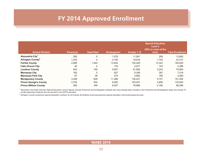# **FY 2014 Approved Enrollment**

<span id="page-16-0"></span>

| <b>School Division</b>        | <b>Preschool</b> | <b>Head Start</b> | <b>Kindergarten</b> | Grades 1-12 | <b>Special Education</b><br>Level 2<br>(50% or more of the<br>time) | <b>Total Enrollment</b> |
|-------------------------------|------------------|-------------------|---------------------|-------------|---------------------------------------------------------------------|-------------------------|
| Alexandria City <sup>1</sup>  | 295              | 0                 | 1,578               | 11.561      | 258                                                                 | 13,692                  |
| Arlington County <sup>2</sup> | 1,203            | 0                 | 2,150               | 18.616      | 1,752                                                               | 23,721                  |
| <b>Fairfax County</b>         | 2,085            | 1,444             | 13,544              | 154,229     | 13,323                                                              | 184,625                 |
| <b>Falls Church City</b>      | 40               | 0                 | 176                 | 2,077       | 103                                                                 | 2,396                   |
| <b>Loudoun County</b>         | 943              | 100               | 5,007               | 61,562      | 3,243                                                               | 70,855                  |
| <b>Manassas City</b>          | 162              | 0                 | 627                 | 6,248       | 381                                                                 | 7,418                   |
| <b>Manassas Park City</b>     | 67               | 36                | 270                 | 2,692       | 195                                                                 | 3,260                   |
| <b>Montgomery County</b>      | 3,358            | 628               | 11,466              | 130,201     | 5,701                                                               | 151,354                 |
| <b>Prince George's County</b> | 4,702            | 932               | 9,050               | 103,451     | 4,809                                                               | 122,944                 |
| <b>Prince William County</b>  | 550              | 349               | 6,507               | 76,696      | 2,184                                                               | 86,286                  |

<sup>1</sup> Alexandria City Public Schools' Special Education Level 2 figures exclude Preschool and Kindergarten students who have already been included in the Preschool and Kindergarten totals and include 79 private placement students who are served by non-ACPS providers.

 $2$  Arlington County's preschool special education numbers do not include 36 students receiving preschool special education community-based services.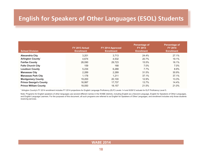# <span id="page-17-0"></span>**English for Speakers of Other Languages (ESOL) Students**

| <b>School Division</b>              | FY 2013 Actual<br><b>Enrollment</b> | FY 2014 Approved<br><b>Enrollment</b> | Percentage of<br><b>FY 2013</b><br><b>Enrollment</b> | Percentage of<br><b>FY 2014</b><br><b>Enrollment</b> |
|-------------------------------------|-------------------------------------|---------------------------------------|------------------------------------------------------|------------------------------------------------------|
| <b>Alexandria City</b>              | 3,201                               | 3,713                                 | 24.4%                                                | 27.1%                                                |
| <b>Arlington County<sup>1</sup></b> | 4,674                               | 4,532                                 | 20.7%                                                | 19.1%                                                |
| <b>Fairfax County</b>               | 28,090                              | 29,723                                | 15.5%                                                | 16.1%                                                |
| <b>Falls Church City</b>            | 159                                 | 168                                   | 7.0%                                                 | $7.0\%$                                              |
| <b>Loudoun County</b>               | 5,234                               | 6,288                                 | 7.7%                                                 | 8.9%                                                 |
| <b>Manassas City</b>                | 2,289                               | 2,289                                 | 31.5%                                                | 30.9%                                                |
| <b>Manassas Park City</b>           | 1,178                               | 1,211                                 | 37.1%                                                | 37.1%                                                |
| <b>Montgomery County</b>            | 19,200                              | 20,100                                | 12.9%                                                | 13.3%                                                |
| <b>Prince George's County</b>       | 16,997                              | 17,737                                | 13.7%                                                | 14.4%                                                |
| <b>Prince William County</b>        | 18.050                              | 18.157                                | 21.5%                                                | 21.0%                                                |

1 Arlington County's FY 2014 enrollment includes FY 2014 projections for English Language Proficiency (ELP) Levels 1-4 and 9/28/12 actuals for ELP Proficiency Level 5.

Note: Programs for English speakers of other languages use several different names in the WABE districts, including English as a Second Language, English for Speakers of Other Languages, and English Language Learners. For the purposes of this document, all such programs are referred to as English for Speakers of Other Languages, and enrollment includes only those students receiving services.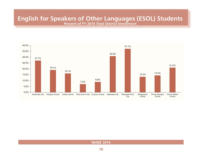### **English for Speakers of Other Languages (ESOL) Students Percent of FY 2014 Total District Enrollment**

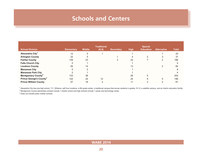### **Schools and Centers**

<span id="page-19-0"></span>

|                                           |                   |               | <b>Traditional</b> |                  |             | <b>Special</b>   |                    |              |
|-------------------------------------------|-------------------|---------------|--------------------|------------------|-------------|------------------|--------------------|--------------|
| <b>School Division</b>                    | <b>Elementary</b> | <b>Middle</b> | $(K-8)$            | <b>Secondary</b> | <b>High</b> | <b>Education</b> | <b>Alternative</b> | <b>Total</b> |
| Alexandria City <sup>1</sup>              | $12 \overline{ }$ | 5             |                    |                  |             |                  |                    | 20           |
| <b>Arlington County</b>                   | 22                | 5             |                    |                  | 4           |                  | 3                  | 37           |
| <b>Fairfax County</b>                     | 139               | 23            |                    |                  | 22          |                  |                    | 196          |
| <b>Falls Church City</b>                  | ◠                 |               |                    |                  |             |                  |                    |              |
| <b>Loudoun County</b>                     | 55                | 14            |                    |                  | 13          |                  |                    | 84           |
| <b>Manassas City</b>                      | 5                 | $\sqrt{2}$    |                    |                  |             |                  |                    |              |
| <b>Manassas Park City</b>                 |                   |               |                    |                  |             |                  |                    |              |
| <b>Montgomery County<sup>2</sup></b>      | 133               | 38            |                    |                  | 26          | 5                |                    | 202          |
| <b>Prince George's County<sup>3</sup></b> | 122               | 24            | 12                 |                  | 24          | 9                | 5                  | 196          |
| <b>Prince William County</b>              | 57                | 16            |                    |                  |             |                  |                    | 91           |

1 Alexandria City has one high school, T.C. Williams, with four locations: a 9th grade center, a traditional campus that serves students in grades 10-12, a satellite campus, and an interim education facility.

 $^2$  Montgomery County elementary schools include 1 charter school and high schools include 1 career and technology center.

<sup>3</sup> Does not include public charter schools.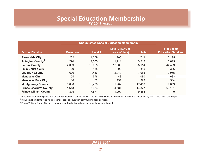### **Special Education Membership FY 2013 Actual**

<span id="page-20-0"></span>

|                                     |                  | <b>Unduplicated Special Education Membership</b> |                                         |              |                                                   |
|-------------------------------------|------------------|--------------------------------------------------|-----------------------------------------|--------------|---------------------------------------------------|
| <b>School Division</b>              | <b>Preschool</b> | Level 1                                          | <b>Level 2 (50% or</b><br>more of time) | <b>Total</b> | <b>Total Special</b><br><b>Education Services</b> |
| Alexandria City <sup>1</sup>        | 202              | 1,309                                            | 200                                     | 1,711        | 2,195                                             |
| <b>Arlington County<sup>2</sup></b> | 294              | 1,505                                            | 1,714                                   | 3,513        | 6,615                                             |
| <b>Fairfax County</b>               | 2,039            | 10,095                                           | 12,980                                  | 25,114       | 44,409                                            |
| <b>Falls Church City</b>            | 29               | 188                                              | 98                                      | 315          | 396                                               |
| <b>Loudoun County</b>               | 620              | 4,416                                            | 2,949                                   | 7,985        | 9,955                                             |
| <b>Manassas City</b>                | 54               | 578                                              | 448                                     | 1,080        | 1,683                                             |
| <b>Manassas Park City</b>           | 30               | 152                                              | 191                                     | 373          | 504                                               |
| <b>Montgomery County</b>            | 1,030            | 10,486                                           | 5,902                                   | 17,418       | 19,859                                            |
| <b>Prince George's County</b>       | 1,613            | 7,983                                            | 4,781                                   | 14,377       | 66,121                                            |
| <b>Prince William County'</b>       | 805              | 7,571                                            | 1,209                                   | 9,585        | $\mathbf 0$                                       |

<sup>1</sup> Preschool memberships include all special education service levels. The FY 2013 Services information is from the December 1, 2012 Child Court state report.

<sup>2</sup> Includes 24 students receiving preschool special education community-based services.

<sup>3</sup> Prince William County Schools does not report a duplicated special education student count.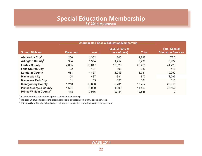### **Special Education Membership FY 2014 Approved**

<span id="page-21-0"></span>

|                                    |                  | <b>Unduplicated Special Education Membership</b> |                                  |              |                                                   |
|------------------------------------|------------------|--------------------------------------------------|----------------------------------|--------------|---------------------------------------------------|
| <b>School Division</b>             | <b>Preschool</b> | Level 1                                          | Level 2 (50% or<br>more of time) | <b>Total</b> | <b>Total Special</b><br><b>Education Services</b> |
| Alexandria City <sup>1</sup>       | 200              | 1,352                                            | 245                              | 1,797        | <b>TBD</b>                                        |
| Arlington County <sup>2</sup>      | 384              | 1,354                                            | 1,752                            | 3,490        | 6,622                                             |
| <b>Fairfax County</b>              | 2,085            | 10,017                                           | 13,323                           | 25,425       | 44,726                                            |
| <b>Falls Church City</b>           | 32               | 197                                              | 103                              | 332          | 416                                               |
| <b>Loudoun County</b>              | 681              | 4,857                                            | 3,243                            | 8,781        | 10,950                                            |
| <b>Manassas City</b>               | 54               | 437                                              | 381                              | 872          | 1,596                                             |
| <b>Manassas Park City</b>          | 31               | 155                                              | 195                              | 381          | 515                                               |
| <b>Montgomery County</b>           | 1,213            | 10,838                                           | 5,701                            | 17,752       | 22,515                                            |
| <b>Prince George's County</b>      | 1,621            | 8,030                                            | 4,809                            | 14,460       | 76,162                                            |
| Prince William County <sup>3</sup> | 478              | 9,986                                            | 2.184                            | 12,648       | 0                                                 |

<sup>1</sup> Alexandria does not forecast special education membership.

<sup>2</sup> Includes 36 students receiving preschool special education community-based services.

<sup>3</sup> Prince William County Schools does not report a duplicated special education student count.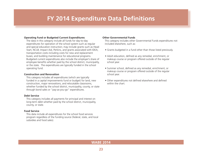### **FY 2014 Expenditure Data Definitions**

#### <span id="page-22-0"></span>**Operating Fund or Budgeted Current Expenditures**

The data in this category include all funds for day-to-day expenditures for operation of the school system such as regular and special education instruction; may include grants such as Head Start, NCLB, Impact Aid, Perkins, and grants associated with IDEA; transportation costs including costs for new and replacement buses; and building maintenance for educational programs. Budgeted current expenditures also include the employer's share of employee benefits whether paid by the school district, municipality, or the state. The expenditures are typically funded in the school operating fund.

#### **Construction and Renovation**

This category includes all expenditures (which are typically funded in a capital improvements fund or budget) for land, new construction, major renovations, and relocatable classrooms, whether funded by the school district, municipality, county, or state through bond sales or "pay-as-you-go" expenditures.

#### **Debt Service**

This category includes all payments for principal and interest on long-term debt whether paid by the school district, municipality, county, or state.

#### **Food Service**

This data include all expenditures for the school food services program regardless of the funding source (federal, state, and local subsidies and food sales).

#### **Other Governmental Funds**

This category includes other Governmental Funds expenditures not included elsewhere, such as:

- Grants budgeted in a fund other than those listed previously.
- Adult education, defined as any remedial, enrichment, or makeup course or program offered outside of the regular school year.
- Summer school, defined as any remedial, enrichment, or makeup course or program offered outside of the regular school year.
- Other expenditures not defined elsewhere and defined within the chart.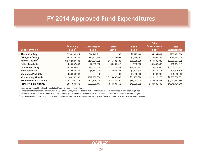# **FY 2014 Approved Fund Expenditures**

<span id="page-23-0"></span>

| <b>School Division</b>             | <b>Operating</b><br>Fund <sup>1</sup> | <b>Construction</b><br><b>Fund</b> | <b>Debt</b><br><b>Service</b> | Food<br><b>Fund</b> | <b>Other</b><br><b>Governmental</b><br>Funds $2$ | <b>Total</b><br><b>Expenditures</b> |
|------------------------------------|---------------------------------------|------------------------------------|-------------------------------|---------------------|--------------------------------------------------|-------------------------------------|
| <b>Alexandria City</b>             | \$233,988,514                         | \$14,140,911                       | \$0                           | \$7,127,148         | \$4,234,491                                      | \$259,491,064                       |
| <b>Arlington County</b>            | \$438,288,321                         | \$70,247,295                       | \$44,723,691                  | \$7,478,683         | \$24,555,225                                     | \$585,293,215                       |
| <b>Fairfax County</b> <sup>3</sup> | \$2,462,827,433                       | \$164,294,022                      | \$175,182,130                 | \$96,388,598        | \$41,305,039                                     | \$2,939,997,222                     |
| <b>Falls Church City</b>           | \$40,937,800                          | \$7,995,000                        | \$3,465,917                   | \$916,900           | \$1,839,300                                      | \$55,154,917                        |
| <b>Loudoun County</b>              | \$828,858,920                         | \$17,527,000                       | \$117,371,322                 | \$26,482,361        | \$14,813,530                                     | \$1,005,053,133                     |
| <b>Manassas City</b>               | \$89,683,151                          | \$8,187,000                        | \$4,956,781                   | \$3,701,318         | \$277,376                                        | \$106,805,626                       |
| <b>Manassas Park City</b>          | \$33,236,798                          | \$0                                | \$0                           | \$1,660,000         | \$168,202                                        | \$35,065,000                        |
| <b>Montgomery County</b>           | \$2,349,252,209                       | \$217,758,000                      | \$124,467,000                 | \$51,189,670        | \$23,213,173                                     | \$2,765,880,052                     |
| <b>Prince George's County</b>      | \$1,687,807,813                       | \$123,518,000                      | \$51,437,420                  | \$64,942,404        | \$44,638,248                                     | \$1,972,343,885                     |
| <b>Prince William County</b>       | \$881,989,578                         | \$209,620,417                      | \$74,899,758                  | \$42,866,062        | \$139,085,495                                    | \$1,348,461,310                     |

Note: Governmental Funds only - excludes Proprietary and Fiduciary Funds.

<sup>1</sup> Funds for entitlement grants are included in Operating Funds, even for districts that do not include those expenditures in their operating funds.

<sup>2</sup> Includes Adult Education, Summer School, competitive grants and other. Numbers will not necessarily match the approved operating budget.

<sup>3</sup> For Fairfax County Public Schools, the operating fund equals total revenue less transfers to other funds, and less the textbook replacement reserve.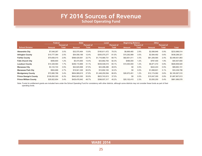### **FY 2014 Sources of Revenue School Operating Fund**

<span id="page-24-0"></span>

|                               | Federal       |                   | <b>State</b>  |                   | Local           |                   | <b>Beginning Balance</b> |                   | <b>Other</b>  |                   |                 |
|-------------------------------|---------------|-------------------|---------------|-------------------|-----------------|-------------------|--------------------------|-------------------|---------------|-------------------|-----------------|
|                               |               | <b>Percent of</b> |               | <b>Percent of</b> |                 | <b>Percent of</b> |                          | <b>Percent of</b> |               | <b>Percent of</b> |                 |
| <b>School Division</b>        | <b>Amount</b> | Total             | <b>Amount</b> | <b>Total</b>      | <b>Amount</b>   | Total             | Amount                   | <b>Total</b>      | <b>Amount</b> | <b>Total</b>      | <b>Total</b>    |
| <b>Alexandria City</b>        | \$7,048,267   | 3.0%              | \$32,570,464  | 13.9%             | \$185,611,472   | 79.3%             | \$6,669,465              | 2.9%              | \$2,088,846   | 0.9%              | \$233,988,514   |
| <b>Arlington County</b>       | \$10,777,364  | 2.5%              | \$54,558,189  | 12.4%             | \$355,075,277   | 81.0%             | \$15,292,999             | 3.5%              | \$2,584,492   | 0.6%              | \$438,288,321   |
| <b>Fairfax County</b>         | \$70,656,015  | 2.8%              | \$568,429,561 | 22.7%             | \$1,716,988,731 | 68.7%             | \$82,651,011             | 3.3%              | \$61,206,565  | 2.4%              | \$2,499,931,883 |
| <b>Falls Church City</b>      | \$506,800     | 1.2%              | \$5,474,900   | 13.4%             | \$33,682,700    | 82.3%             | \$486,000                | 1.2%              | \$787,400     | 1.9%              | \$40,937,800    |
| <b>Loudoun County</b>         | \$14,328,564  | 1.7%              | \$258,110,869 | 31.1%             | \$539,548,015   | 65.1%             | \$10,000,000             | 1.2%              | \$6,871,472   | 0.8%              | \$828,858,920   |
| <b>Manassas City</b>          | \$3,143,724   | 3.5%              | \$42,620,898  | 47.5%             | \$43,496,286    | 48.5%             | \$0                      | $0.0\%$           | \$422,243     | 0.5%              | \$89,683,151    |
| <b>Manassas Park City</b>     | \$904,688     | 2.7%              | \$19,941,326  | 60.0%             | \$10,692,183    | 32.2%             | \$0                      | $0.0\%$           | \$1,698,601   | 5.1%              | \$33,236,798    |
| <b>Montgomery County</b>      | \$72,680,788  | 3.4%              | \$604,989,615 | 27.9%             | \$1,448,250,594 | 66.9%             | \$26,972,451             | 1.2%              | \$12,174,062  | 0.6%              | \$2,165,067,510 |
| <b>Prince George's County</b> | \$106,093,300 | 6.3%              | \$942,923,300 | 55.9%             | \$623.743.913   | 37.0%             | \$0                      | $0.0\%$           | \$15,047,300  | 0.9%              | \$1,687,807,813 |
| <b>Prince William County</b>  | \$29,922,654  | 3.4%              | \$429,476,942 | 48.7%             | \$398,937,317   | 45.2%             | \$20,102,415             | 2.3%              | \$3,550,250   | 0.4%              | \$881,989,578   |

Note: Funds for entitlement grants are included here under the School Operating Fund for consistency with other districts, although some districts may not consider these funds as part of their operating funds.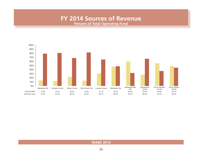### **FY 2014 Sources of Revenue Percent of Total Operating Fund**

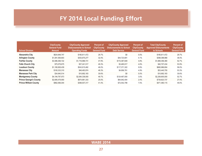# **FY 2014 Local Funding Effort**

<span id="page-26-0"></span>

| <b>School Division</b>        | <b>City/County</b><br><b>General Fund</b><br><b>Amount</b> | <b>City/County Approved</b><br><b>Disbursements to School</b><br><b>Operating Funds</b> | <b>Percent of</b><br><b>City/County</b><br><b>General Fund</b> | <b>City/County Approved</b><br><b>Disbursements to School</b><br><b>Debt Service</b> | <b>Percent of</b><br><b>City/County</b><br><b>General Fund</b> | <b>Total City/County</b><br><b>Approved Disbursements</b><br>to Schools | <b>Percent of</b><br><b>City/County</b><br><b>General Fund</b> |
|-------------------------------|------------------------------------------------------------|-----------------------------------------------------------------------------------------|----------------------------------------------------------------|--------------------------------------------------------------------------------------|----------------------------------------------------------------|-------------------------------------------------------------------------|----------------------------------------------------------------|
| Alexandria City               | \$624.848.747                                              | \$185,611,472                                                                           | 29.7%                                                          | \$0                                                                                  | 0.0%                                                           | \$185.611.472                                                           | 29.7%                                                          |
| <b>Arlington County</b>       | \$1,091,506,803                                            | \$353,675,277                                                                           | 32.4%                                                          | \$44.723.691                                                                         | 4.1%                                                           | \$398,398,968                                                           | 36.5%                                                          |
| <b>Fairfax County</b>         | \$3,586,369,722                                            | \$1,716,988,731                                                                         | 47.9%                                                          | \$172,367,649                                                                        | 4.8%                                                           | \$1,889,356,380                                                         | 52.7%                                                          |
| <b>Falls Church City</b>      | \$75,579,675                                               | \$37,241,517                                                                            | 49.3%                                                          | \$3.465.917                                                                          | 4.6%                                                           | \$40,707,434                                                            | 53.9%                                                          |
| <b>Loudoun County</b>         | \$1.180.826.439                                            | \$543,615,482                                                                           | 46.0%                                                          | \$117.371.322                                                                        | 9.9%                                                           | \$660,986,804                                                           | 56.0%                                                          |
| <b>Manassas City</b>          | \$100,333,310                                              | \$48,483,974                                                                            | 48.3%                                                          | \$4,956,781                                                                          | 4.9%                                                           | \$53,440,755                                                            | 53.3%                                                          |
| <b>Manassas Park City</b>     | \$34,940,514                                               | \$10,692,183                                                                            | 30.6%                                                          | \$0                                                                                  | 0.0%                                                           | \$10,692,183                                                            | 30.6%                                                          |
| <b>Montgomery County</b>      | \$4,194,797,973                                            | \$2,084,338,000                                                                         | 49.7%                                                          | \$124.467.000                                                                        | 3.0%                                                           | \$2,208,805,000                                                         | 52.7%                                                          |
| <b>Prince George's County</b> | \$2,695,478,900                                            | \$674,881,333                                                                           | 25.0%                                                          | \$64,942,404                                                                         | 2.4%                                                           | \$739,823,737                                                           | 27.4%                                                          |
| <b>Prince William County</b>  | \$962,566,044                                              | \$398,937,317                                                                           | 41.4%                                                          | \$72,542,798                                                                         | 7.5%                                                           | \$471,480,115                                                           | 49.0%                                                          |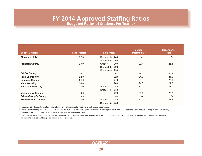### **FY 2014 Approved Staffing Ratios**

**Budgeted Ratios of Students Per Teacher**

| <b>School Division</b>              | Kindergarten | <b>Elementary</b>  | Middle /<br><b>Intermediate</b> | Secondary /<br><b>High</b> |
|-------------------------------------|--------------|--------------------|---------------------------------|----------------------------|
| Alexandria City <sup>1</sup>        | 22.0         | Grades 1-3<br>24.0 | n/a                             | n/a                        |
|                                     |              | Grades 4-5<br>26.0 |                                 |                            |
| <b>Arlington County</b>             | 23.0         | Grade 1<br>20.0    | 23.4                            | 25.4                       |
|                                     |              | Grades 2-3<br>22.0 |                                 |                            |
|                                     |              | Grades 4-5<br>23.0 |                                 |                            |
| Fairfax County <sup>2</sup>         | 26.3         | 26.3               | 26.9                            | 29.5                       |
| <b>Falls Church City</b>            | 22.0         | 22.0               | 24.0                            | 24.0                       |
| <b>Loudoun County</b>               | 24.0         | 24.0               | 23.6                            | 27.9                       |
| <b>Manassas City</b>                | 24.0         | 24.0               | 24.0                            | 24.0                       |
| <b>Manassas Park City</b>           | 24.0         | Grades 1-3<br>24.0 | 21.0                            | 21.0                       |
|                                     |              | Grades 4-5<br>25.0 |                                 |                            |
| <b>Montgomery County</b>            | 19.0         | 22.0               | 25.4                            | 25.7                       |
| Prince George's County <sup>3</sup> | n/a          | n/a                | n/a                             | n/a                        |
| <b>Prince William County</b>        | 24.0         | Grades 1-3<br>24.0 | 21.0                            | 21.3                       |
|                                     |              | Grades 4-5<br>25.0 |                                 |                            |

<sup>1</sup> Alexandria City does not allocate positions based on staffing ratios for middle and high school classrooms.

<span id="page-27-0"></span>Approved Pupil Teacher Ratios

 $2$  Fairfax County staffing ratios also take into account the number of students eligible for free and reduced price lunch and ESOL services. For a complete listing of staffing formulas, see th[e Fairfax County Public Schools website:](http://www.fcps.edu/index.shtml) http://www.fcps.edu/index.shtml

<sup>3</sup> Due to the implementation of Student Based Budgeting (SBB), student:classroom teacher ratios are not instituted. SBB gives Principals the autonomy to allocate staff based on the students enrolled and the specific needs of those students.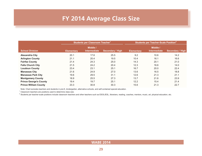# **FY 2014 Average Class Size**

<span id="page-28-0"></span>

|                               |                   | Students per Classroom Teacher <sup>1</sup> |                         | <b>Students per Teacher-Scale Position<sup>2</sup></b> |                                 |                         |  |
|-------------------------------|-------------------|---------------------------------------------|-------------------------|--------------------------------------------------------|---------------------------------|-------------------------|--|
| <b>School Division</b>        | <b>Elementary</b> | Middle /<br><b>Intermediate</b>             | <b>Secondary / High</b> | <b>Elementary</b>                                      | Middle /<br><b>Intermediate</b> | <b>Secondary / High</b> |  |
| <b>Alexandria City</b>        | 20.1              | 17.6                                        | 25.5                    | 9.2                                                    | 10.6                            | 14.2                    |  |
| <b>Arlington County</b>       | 21.1              | 20.4                                        | 19.5                    | 10.4                                                   | 16.1                            | 16.6                    |  |
| <b>Fairfax County</b>         | 21.4              | 24.3                                        | 25.0                    | 14.3                                                   | 20.1                            | 21.0                    |  |
| <b>Falls Church City</b>      | 21.5              | 24.2                                        | 20.4                    | 12.3                                                   | 16.6                            | 14.0                    |  |
| <b>Loudoun County</b>         | 23.4              | 23.1                                        | 25.1                    | 16.7                                                   | 20.0                            | 22.4                    |  |
| <b>Manassas City</b>          | 21.6              | 24.9                                        | 27.0                    | 13.6                                                   | 16.5                            | 18.8                    |  |
| <b>Manassas Park City</b>     | 19.6              | 29.5                                        | 31.1                    | 12.6                                                   | 21.3                            | 21.1                    |  |
| <b>Montgomery County</b>      | 18.9              | 25.5                                        | 27.3                    | 13.7                                                   | 21.6                            | 23.9                    |  |
| <b>Prince George's County</b> | 19.4              | 19.7                                        | 25.1                    | 12.2                                                   | 15.4                            | 21.4                    |  |
| <b>Prince William County</b>  | 23.3              | 30.8                                        | 30.3                    | 15.6                                                   | 21.3                            | 22.7                    |  |

Note: Chart excludes teachers and students in pre-K, kindergarten, alternative schools, and self-contained special education.

 $1$  Classroom teachers are positions used to determine class size.

<sup>2</sup> Students per teacher-scale positions include classroom teachers and other teachers such as ESOL/ESL, librarians, reading, coaches, mentors, music, art, physical education, etc.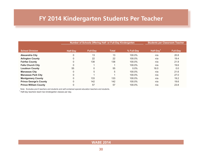# <span id="page-29-0"></span>**FY 2014 Kindergarten Students Per Teacher**

|                               |                 | Number of Schools Offering Half- or Full-Day Kindergarten |              |            | <b>Students per Classroom Teacher</b> |                 |
|-------------------------------|-----------------|-----------------------------------------------------------|--------------|------------|---------------------------------------|-----------------|
|                               |                 |                                                           |              |            |                                       |                 |
| <b>School Division</b>        | <b>Half-Day</b> | <b>Full-Day</b>                                           | <b>Total</b> | % Full-Day | Half-Day                              | <b>Full-Day</b> |
| <b>Alexandria City</b>        | 0               | 13                                                        | 13           | 100.0%     | n/a                                   | 20.8            |
| <b>Arlington County</b>       | 0               | 22                                                        | 22           | 100.0%     | n/a                                   | 19.4            |
| <b>Fairfax County</b>         | 0               | 138                                                       | 138          | 100.0%     | n/a                                   | 21.9            |
| <b>Falls Church City</b>      | 0               |                                                           |              | 100.0%     | n/a                                   | 19.6            |
| <b>Loudoun County</b>         | 55              | 0                                                         | 55           | $0.0\%$    | 18.0                                  | 0.0             |
| <b>Manassas City</b>          | 0               | 5                                                         | 5            | 100.0%     | n/a                                   | 21.6            |
| <b>Manassas Park City</b>     | $\Omega$        |                                                           |              | 100.0%     | n/a                                   | 27.0            |
| <b>Montgomery County</b>      |                 | 133                                                       | 133          | 100.0%     | n/a                                   | 19.2            |
| <b>Prince George's County</b> | 0               | 142                                                       | 142          | 100.0%     | n/a                                   | 19.6            |
| <b>Prince William County</b>  |                 | 57                                                        | 57           | 100.0%     | n/a                                   | 23.8            |

Note: Excludes pre-K teachers and students and self-contained special education teachers and students.

 $1$  Half-day teachers teach two kindergarten classes per day.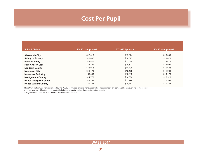# **Cost Per Pupil**

<span id="page-30-0"></span>

| <b>School Division</b>        | FY 2012 Approved | FY 2013 Approved | FY 2014 Approved |
|-------------------------------|------------------|------------------|------------------|
| <b>Alexandria City</b>        | \$17,618         | \$17,024         | \$16,880         |
| Arlington County <sup>1</sup> | \$18,047         | \$18,675         | \$18,678         |
| <b>Fairfax County</b>         | \$12,820         | \$13,564         | \$13,472         |
| <b>Falls Church City</b>      | \$16,309         | \$16,612         | \$16,991         |
| <b>Loudoun County</b>         | \$11,014         | \$11,770         | \$11,638         |
| <b>Manassas City</b>          | \$11,478         | \$12,108         | \$11,984         |
| <b>Manassas Park City</b>     | \$9,888          | \$10,619         | \$10,173         |
| <b>Montgomery County</b>      | \$14,776         | \$14,880         | \$15,326         |
| <b>Prince George's County</b> | \$11,753         | \$12,296         | \$11,563         |
| <b>Prince William County</b>  | \$9,852          | \$10,163         | \$10,158         |

Note: Uniform formulas were developed by the WABE committee for consistency areawide. These numbers are comparable; however, the cost per pupil

reported here may differ from that reported in individual districts' budget documents or other reports.<br>1 Arlington revised their FY 2014 Cost Per Pupil in November 2013

Arlington revised their FY 2014 Cost Per Pupil in November 2013.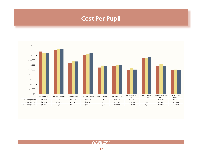# **Cost Per Pupil**

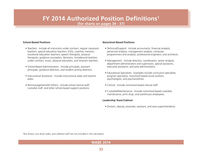# <span id="page-32-0"></span>**FY 2014 Authorized Position Definitions1**

**(for charts on pages 34 - 37)**

#### **School-Based Positions**

- Teachers: Include all instructors under contract, regular classroom teachers, special education teachers, ESOL, coaches, mentors, vocational education teachers, speech therapists, physical therapists, guidance counselors, librarians, homebound teachers under contract, music, physical education, and itinerant teachers.
- School-Based Administrators: Include principals, assistant principals, guidance directors, and student activity directors.
- Instructional Assistants: Include instructional aides and teacher aides.
- Nonmanagement/All Others: Include school clerical staff, custodial staff, and other school-based support positions.

#### **Nonschool-Based Positions**

- Technical/Support: Include accountants, financial analysts, personnel analysts, management analysts, computer programmers and analysts, professional engineers, and architects.
- Management: Include directors, coordinators, senior analysts, department administrators and supervisors, special assistants, executive assistants, and area administrators.
- Educational Specialists: Examples include curriculum specialists, program specialists, nonschool-based social workers, psychologists, and psychometrists.
- Clerical: Include nonschool-based clerical staff.
- Custodial/Maintenance: Include nonschool-based custodial, maintenance, print shop, and warehouse employees.

#### **Leadership Team/Cabinet**

• Division, deputy, associate, assistant, and area superintendents.

1 Bus drivers, bus driver aides, and cafeteria staff are not included in this calculation.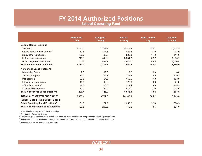# **FY 2014 Authorized Positions**

**School Operating Fund**

<span id="page-33-0"></span>

|                                                       | <b>Alexandria</b> | <b>Arlington</b> | <b>Fairfax</b> | <b>Falls Church</b> | Loudoun       |
|-------------------------------------------------------|-------------------|------------------|----------------|---------------------|---------------|
|                                                       | <b>City</b>       | <b>County</b>    | <b>County</b>  | <b>City</b>         | <b>County</b> |
| <b>School-Based Positions</b>                         |                   |                  |                |                     |               |
| <b>Teachers</b>                                       | 1,243.5           | 2,262.7          | 15,373.9       | 222.1               | 5,421.5       |
| School-Based Administrators <sup>1</sup>              | 67.5              | 107.5            | 652.5          | 11.0                | 291.0         |
| <b>Educational Specialists</b>                        | 150.7             | 33.8             | 522.3          | 11.2                | 117.0         |
| <b>Instructional Assistants</b>                       | 218.0             | 543.0            | 3,084.8        | 62.2                | 1,285.7       |
| Nonmanagement/All Others <sup>1</sup>                 | 153.3             | 429.1            | 2,826.7        | 48.3                | 1,030.8       |
| <b>Total School-Based Positions</b>                   | 1,833.0           | 3,376.1          | 22,460.2       | 354.8               | 8,146.0       |
| <b>Nonschool-Based Positions</b>                      |                   |                  |                |                     |               |
| Leadership Team                                       | 7.0               | 10.0             | 19.0           | 3.0                 | 8.0           |
| Technical/Support                                     | 72.0              | 91.3             | 747.5          | 9.9                 | 119.8         |
| Management                                            | 37.5              | 54.0             | 150.0          | 7.0                 | 103.0         |
| <b>Educational Specialists</b>                        | 18.5              | 48.6             | 129.0          | 0.0                 | 21.0          |
| <b>Office Support Staff</b>                           | 48.4              | 58.3             | 229.4          | 3.5                 | 148.5         |
| Custodial/Maintenance                                 | 17.0              | 84.0             | 412.0          | 7.0                 | 203.5         |
| <b>Total Nonschool-Based Positions</b>                | 200.4             | 346.2            | 1,686.9        | 30.4                | 603.8         |
| TOTAL AUTHORIZED POSITIONS <sup>2</sup>               | 2,033.4           | 3,722.3          | 24,147.1       | 385.2               | 8,749.8       |
| (School Based + Non-School Based)                     |                   |                  |                |                     |               |
| Other Operating Fund Positions <sup>3</sup>           | 131.0             | 177.5            | 1,853.0        | 22.6                | 888.5         |
| <b>Total Non-Operating Fund Positions<sup>4</sup></b> | 120.5             | 209.3            | 470.2          | 8.6                 | 524.0         |

Note: Numbers may not add due to rounding.

<sup>1</sup> See page 36 for further details.

 $^2$  Entitlement grant positions are included here although these positions are not part of the School Operating Fund.

<sup>3</sup> Includes bus drivers, bus drivers' aides, and cafeteria staff. (Fairfax County contracts for bus drivers and aides).

4 Includes all positions funded in Other Funds.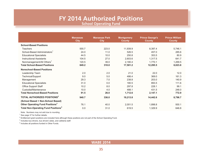# **FY 2014 Authorized Positions**

**School Operating Fund**

|                                                       | <b>Manassas</b> | <b>Manassas Park</b> | <b>Montgomery</b> | <b>Prince George's</b> | <b>Prince William</b> |
|-------------------------------------------------------|-----------------|----------------------|-------------------|------------------------|-----------------------|
|                                                       | <b>City</b>     | <b>City</b>          | <b>County</b>     | <b>County</b>          | <b>County</b>         |
| <b>School-Based Positions</b>                         |                 |                      |                   |                        |                       |
| <b>Teachers</b>                                       | 555.7           | 223.0                | 11,939.9          | 8,397.4                | 5,746.1               |
| School-Based Administrators <sup>1</sup>              | 24.0            | 11.0                 | 526.5             | 457.0                  | 285.6                 |
| <b>Educational Specialists</b>                        | 44.5            | 10.0                 | 250.8             | 353.5                  | 80.9                  |
| <b>Instructional Assistants</b>                       | 104.5           | 27.0                 | 2,603.6           | 1,317.5                | 641.7                 |
| Nonmanagement/All Others <sup>1</sup>                 | 120.5           | 39.0                 | 2,180.4           | 1,770.1                | 1,269.5               |
| <b>Total School-Based Positions</b>                   | 849.2           | 310.0                | 17,501.2          | 12,295.5               | 8,023.8               |
| <b>Nonschool-Based Positions</b>                      |                 |                      |                   |                        |                       |
| Leadership Team                                       | 2.0             | 2.0                  | 21.0              | 22.0                   | 12.0                  |
| Technical/Support                                     | 9.0             | 5.0                  | 486.4             | 369.0                  | 161.3                 |
| Management                                            | 29.3            | 7.0                  | 238.8             | 203.0                  | 140.9                 |
| <b>Educational Specialists</b>                        | 31.0            | 0.0                  | 180.5             | 893.5                  | 111.6                 |
| Office Support Staff                                  | 10.2            | 8.0                  | 297.8             | 228.1                  | 99.1                  |
| Custodial/Maintenance                                 | 10.0            | 4.0                  | 488.1             | 431.5                  | 248.0                 |
| <b>Total Nonschool-Based Positions</b>                | 91.5            | 26.0                 | 1,712.6           | 2,147.1                | 772.9                 |
| TOTAL AUTHORIZED POSITIONS <sup>2</sup>               | 940.7           | 336.0                | 19,213.8          | 14,442.6               | 8,796.7               |
| (School Based + Non-School Based)                     |                 |                      |                   |                        |                       |
| Other Operating Fund Positions <sup>3</sup>           | 76.1            | 40.0                 | 2,001.5           | 1,898.8                | 930.1                 |
| <b>Total Non-Operating Fund Positions<sup>4</sup></b> | 0.0             | 31.0                 | 619.5             | 1,329.9                | 646.8                 |

Note: Numbers may not add due to rounding.

<sup>1</sup> See page 37 for further details.

 $^2$  Entitlement grant positions are included here although these positions are not part of the School Operating Fund.

 $3$  Includes bus drivers, bus drivers' aides, and cafeteria staff.

<sup>4</sup> Includes all positions funded in Other Funds.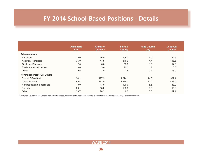# <span id="page-35-0"></span>**FY 2014 School-Based Positions - Details**

|                                   | <b>Alexandria</b><br><b>City</b> | <b>Arlington</b><br>County <sup>1</sup> | <b>Fairfax</b><br><b>County</b> | <b>Falls Church</b><br><b>City</b> | Loudoun<br><b>County</b> |
|-----------------------------------|----------------------------------|-----------------------------------------|---------------------------------|------------------------------------|--------------------------|
| <b>Administrators</b>             |                                  |                                         |                                 |                                    |                          |
| Principals                        | 20.0                             | 36.0                                    | 196.0                           | 4.0                                | 84.5                     |
| <b>Assistant Principals</b>       | 36.0                             | 47.5                                    | 376.0                           | 4.4                                | 116.5                    |
| <b>Guidance Directors</b>         | 2.0                              | 8.0                                     | 53.0                            | 1.0                                | 14.0                     |
| <b>Student Activity Directors</b> | 0.0                              | 3.0                                     | 25.0                            | 1.2                                | 0.0                      |
| Other                             | 9.5                              | 13.0                                    | 2.5                             | 0.4                                | 76.0                     |
| Nonmanagement / All Others        |                                  |                                         |                                 |                                    |                          |
| <b>School Office Staff</b>        | 34.1                             | 177.9                                   | 1,074.1                         | 14.3                               | 387.4                    |
| <b>Custodial Staff</b>            | 65.4                             | 192.0                                   | 1,388.0                         | 22.0                               | 493.0                    |
| Noninstructional Specialists      | 0.0                              | 13.0                                    | 199.6                           | 5.5                                | 43.0                     |
| Security                          | 23.1                             | 18.0                                    | 165.0                           | 3.0                                | 15.0                     |
| Other                             | 30.7                             | 28.2                                    | 0.0                             | 3.5                                | 92.4                     |

 $1$  Arlington County Public Schools has 18 school resource assistants. Additional security is provided by the Arlington County Police Department.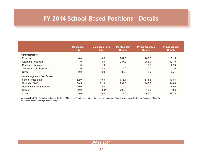# **FY 2014 School-Based Positions - Details**

|                                   | <b>Manassas</b><br><b>City</b> | <b>Manassas Park</b><br><b>City</b> | <b>Montgomery</b><br><b>County</b> | <b>Prince George's</b><br><b>County</b> | <b>Prince William</b><br><b>County</b> |
|-----------------------------------|--------------------------------|-------------------------------------|------------------------------------|-----------------------------------------|----------------------------------------|
| <b>Administrators</b>             |                                |                                     |                                    |                                         |                                        |
| Principals                        | 8.0                            | 4.0                                 | 204.5                              | 203.0                                   | 91.5                                   |
| <b>Assistant Principals</b>       | 14.0                           | 4.0                                 | 287.0                              | 252.0                                   | 121.0                                  |
| Guidance Directors                | 1.0                            | 1.0                                 | 0.0                                | 0.0                                     | 27.0                                   |
| <b>Student Activity Directors</b> | 1.0                            | 2.0                                 | 0.0                                | 0.0                                     | 11.0                                   |
| Other                             | 0.0                            | 0.0                                 | 35.0                               | 2.0                                     | 35.1                                   |
| Nonmanagement / All Others        |                                |                                     |                                    |                                         |                                        |
| <b>School Office Staff</b>        | 52.0                           | 10.0                                | 676.4                              | 538.5                                   | 498.5                                  |
| <b>Custodial Staff</b>            | 50.5                           | 21.0                                | 1,292.0                            | 948.6                                   | 448.6                                  |
| Noninstructional Specialists      | 0.0                            | 2.0                                 | 0.0                                | 0.0                                     | 85.5                                   |
| Security                          | 9.0                            | 0.0 <sup>1</sup>                    | 208.0                              | 18.0                                    | 49.6                                   |
| Other                             | 9.0                            | 6.0                                 | 4.0                                | 265.0                                   | 187.3                                  |

<sup>1</sup> Manassas Park City Schools reimburses the City of Manassas Park for a portion of the salary of the police officer that serves as the School Resource Officer for the Middle School and High School campus.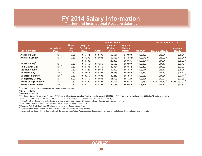# **FY 2014 Salary Information**

**Teacher and Instructional Assistant Salaries**

<span id="page-37-0"></span>

|                               |                                 |                                   |                                                 |          | <b>Teacher Salary</b>                         |                                              |                           | <b>Instructional Assistant</b> |                                 |
|-------------------------------|---------------------------------|-----------------------------------|-------------------------------------------------|----------|-----------------------------------------------|----------------------------------------------|---------------------------|--------------------------------|---------------------------------|
| <b>School Division</b>        | <b>Scheduled</b><br><b>Days</b> | <b>Hours</b><br>per<br><b>Day</b> | Step $1 +$<br><b>Bachelors</b><br><b>Degree</b> | Average  | Step $1 +$<br><b>Masters</b><br><b>Degree</b> | Step $9+$<br><b>Masters</b><br><b>Degree</b> | <b>Maximum</b>            | <b>Beginning Hourly</b>        | <b>Maximum</b><br><b>Hourly</b> |
| <b>Alexandria City</b>        | 197                             | 7.25                              | \$46,774                                        | \$73,705 | \$53,651                                      | \$70,808                                     | \$106,197                 | \$15.94                        | \$28.24                         |
| <b>Arlington County</b>       | 194                             | 7.50                              | $$47,282$ <sup>2</sup>                          | \$74,903 | $$52,130$ <sup>2</sup>                        | $$71,982$ <sup>2</sup>                       | $$109,078$ <sup>2,4</sup> | \$15.03 <sup>2</sup>           | $$29.84$ <sup>2</sup>           |
|                               |                                 |                                   | $$44,788$ <sup>3</sup>                          |          | $$49,380$ <sup>3</sup>                        | $$68,185$ <sup>3</sup>                       | $$103,324$ <sup>3,4</sup> | \$14.24 <sup>3</sup>           | $$28.26$ <sup>3</sup>           |
| <b>Fairfax County</b>         | 194                             | 7.50                              | \$46,756                                        | \$67,245 | \$52,530                                      | \$59,590                                     | \$100,898                 | \$14.47                        | \$30.40                         |
| <b>Falls Church City</b>      | $191^{6}$                       | 7.50                              | \$44.733                                        | \$64,750 | \$49,934                                      | \$63,012                                     | \$100,437                 | \$14.82                        | \$27.27                         |
| <b>Loudoun County</b>         | 197                             | 7.50                              | \$46,422                                        | \$62,978 | \$52,020                                      | \$55,078                                     | \$103,074                 | \$15.47                        | \$28.94                         |
| <b>Manassas City</b>          | 195                             | 7.50                              | \$46,078                                        | \$63,228 | \$51,478                                      | \$58,562                                     | \$103,412                 | \$16.10                        | \$28.17                         |
| <b>Manassas Park City</b>     | 195                             | 7.50                              | \$43,219                                        | \$57,993 | \$49,219                                      | \$55,879                                     | \$103,656                 | $$14.64$ $$$                   | $$29.41$ $$$                    |
| <b>Montgomery County</b>      | 193                             | 8.00                              | \$46,410                                        | \$74,038 | \$51,128                                      | \$67,723                                     | \$103,634                 | \$17.01                        | \$27.35                         |
| <b>Prince George's County</b> | 192                             | 7.50                              | \$44,799                                        | \$63,793 | \$49,107                                      | \$60,188                                     | \$91,752                  | $$11.74 - $18.10$ <sup>9</sup> | $$22.95 - $32.01$ <sup>9</sup>  |
| <b>Prince William County</b>  | 195                             | 7.50                              | \$45,370                                        | \$60,408 | \$50,778                                      | \$60,662                                     | \$106,448                 | \$14.52                        | \$30.53                         |

 $1$  Arlington County has 194 scheduled workdays and 6 unscheduled days.

<sup>2</sup> Retirement eligible.

<sup>3</sup> Non-retirement eligible.

<sup>4</sup> Teachers in Career Advancement Program (CAP) follow a different salary schedule. Maximum teacher salary is \$114,528 in CAP-1 (retirement eligible) and \$120,253 in CAP-2 (retirement eligible); maximum teacher salary is \$108,487 in CAP-1 (non-retirement eligible) and \$113,910 in CAP-2 (non-retirement eligible).

<sup>5</sup> Fairfax County teacher salaries and instructional assistant hourly rates include a 2% market scale adjustment effective January 1, 2014.

 $6$  Falls Church City Public Schools has 191 scheduled workdays and 9 unscheduled days.

 $7$  Manassas Park City Schools has 195 scheduled workdays and 5 unscheduled days.

<sup>8</sup> Instructional Assistants in Manassas Park City Schools are salaried and not hourly positions.

<sup>9</sup> Instructional Assistants in Prince George's County Schools are classified as Paraprofessional Educators who are paid at a varied scale dependent upon level of education.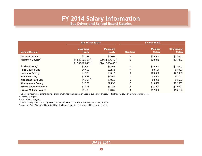# **FY 2014 Salary Information**

**Bus Driver and School Board Salaries**

|                                   | <b>Bus Driver Salary</b>          |                                 |                          |                                |                                     |
|-----------------------------------|-----------------------------------|---------------------------------|--------------------------|--------------------------------|-------------------------------------|
| <b>School Division</b>            | <b>Beginning</b><br><b>Hourly</b> | <b>Maximum</b><br><b>Hourly</b> | <b>Members</b>           | <b>Member</b><br><b>Salary</b> | <b>Chairperson</b><br><b>Salary</b> |
| <b>Alexandria City</b>            | \$17.42                           | \$29.08                         | 9                        | \$15,000                       | \$17,000                            |
| Arlington County <sup>1</sup>     | $$18.42 - $22.59$ <sup>2</sup>    | \$29.84-\$36.49 <sup>2</sup>    | 5                        | \$22,040                       | \$24,080                            |
|                                   | $$17.45 - $21.40$ <sup>3</sup>    | $$28.26 - $34.57$ <sup>3</sup>  |                          |                                |                                     |
| <b>Fairfax County<sup>4</sup></b> | \$18.52                           | \$32.62                         | 12                       | \$20,000                       | \$22,000                            |
| <b>Falls Church City</b>          | \$17.60                           | \$32.38                         | $\overline{\phantom{a}}$ | \$3,600                        | \$6,000                             |
| <b>Loudoun County</b>             | \$17.65                           | \$33.17                         | 9                        | \$20,000                       | \$22,000                            |
| <b>Manassas City</b>              | \$18.63                           | \$32.61                         | 7                        | \$6,000                        | \$7,100                             |
| <b>Manassas Park City</b>         | \$16.99 <sup>5</sup>              | \$30.30                         | 5                        | \$3,000                        | \$3,500                             |
| <b>Montgomery County</b>          | \$16.36                           | \$25.96                         | 7                        | \$18,500                       | \$22,500                            |
| <b>Prince George's County</b>     | \$17.18                           | \$31.26                         | 9                        | \$18,000                       | \$19,000                            |
| <b>Prince William County</b>      | \$15.86                           | \$33.35                         | 8                        | \$12,000                       | \$13,100                            |

1 Salary per hour varies among the type of bus driver. Additional details on types of bus drivers are provided in the APS pay plan at www.apsva.us/jobs.

2 Retirement eligible.

3 Non-retirement eligible.

4 Fairfax County bus driver hourly rates include a 2% market scale adjustment effective January 1, 2014.

<sup>5</sup> Manassas Park City revised their Bus Driver beginning hourly rate in November 2013 due to an error.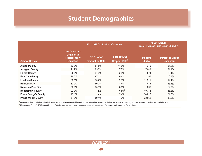# **Student Demographics**

<span id="page-39-0"></span>

|                               |                                                                           | 2011-2012 Graduation Information                  | FY 2013 Actual<br><b>Free or Reduced Price Lunch Eligibility</b> |                                    |                                                 |
|-------------------------------|---------------------------------------------------------------------------|---------------------------------------------------|------------------------------------------------------------------|------------------------------------|-------------------------------------------------|
| <b>School Division</b>        | % of Graduates<br>Going on to<br><b>Postsecondary</b><br><b>Education</b> | 2012 Cohort<br><b>Graduation Rate<sup>1</sup></b> | 2012 Cohort<br><b>Dropout Rate<sup>1</sup></b>                   | <b>Students</b><br><b>Eligible</b> | <b>Percent of District</b><br><b>Enrollment</b> |
| <b>Alexandria City</b>        | 83.0%                                                                     | 81.8%                                             | 11.9%                                                            | 7,370                              | 56.2%                                           |
| <b>Arlington County</b>       | 91.9%                                                                     | 89.2%                                             | $7.7\%$                                                          | 7,049                              | 31.1%                                           |
| <b>Fairfax County</b>         | 96.3%                                                                     | 91.3%                                             | 5.9%                                                             | 47,874                             | 26.4%                                           |
| <b>Falls Church City</b>      | 95.0%                                                                     | 97.1%                                             | 0.6%                                                             | 151                                | 6.6%                                            |
| <b>Loudoun County</b>         | 92.1%                                                                     | 95.2%                                             | 2.9%                                                             | 11,911                             | 17.4%                                           |
| <b>Manassas City</b>          | 82.0%                                                                     | 80.3%                                             | 8.4%                                                             | 4,015                              | 55.2%                                           |
| <b>Manassas Park City</b>     | 85.0%                                                                     | 85.1%                                             | 8.5%                                                             | 1,806                              | 57.0%                                           |
| <b>Montgomery County</b>      | 92.0%                                                                     | n/a                                               | $6.8\%$ <sup>2</sup>                                             | 49,344                             | 33.2%                                           |
| <b>Prince George's County</b> | 79.1%                                                                     | n/a                                               | 7.4%                                                             | 74,019                             | 59.8%                                           |
| <b>Prince William County</b>  | 84.3%                                                                     | 89.1%                                             | 7.3%                                                             | 32,062                             | 38.2%                                           |

<sup>1</sup> Graduation data for Virginia school divisions is from the Department of Education's website at http://www.doe.virginia.gov/statistics\_reports/graduation\_completion/cohort\_reports/index.shtml.

 $^2$  Montgomery County's 2012 Cohort Dropout Rate is based on a four year cohort rate reported by the State of Maryland and requied by Federal Law.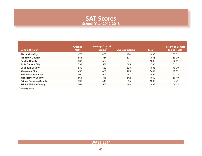### **SAT Scores School Year 2012-2013**

<span id="page-40-0"></span>

| <b>School Division</b>        | Average<br><b>Math</b> | <b>Average Critical</b><br>Reading <sup>1</sup> | <b>Average Writing</b> | <b>Total</b> | <b>Percent of Seniors</b><br><b>Taking Tests</b> |
|-------------------------------|------------------------|-------------------------------------------------|------------------------|--------------|--------------------------------------------------|
| <b>Alexandria City</b>        | 477                    | 485                                             | 474                    | 1436         | 65.0%                                            |
| <b>Arlington County</b>       | 554                    | 554                                             | 537                    | 1645         | 69.9%                                            |
| <b>Fairfax County</b>         | 568                    | 554                                             | 541                    | 1663         | 72.0%                                            |
| <b>Falls Church City</b>      | 593                    | 587                                             | 585                    | 1765         | 81.0%                                            |
| <b>Loudoun County</b>         | 539                    | 539                                             | 528                    | 1606         | 79.0%                                            |
| <b>Manassas City</b>          | 492                    | 486                                             | 479                    | 1457         | 73.0%                                            |
| <b>Manassas Park City</b>     | 500                    | 505                                             | 491                    | 1496         | 67.0%                                            |
| <b>Montgomery County</b>      | 561                    | 546                                             | 542                    | 1649         | 69.1%                                            |
| <b>Prince George's County</b> | 399                    | 413                                             | 395                    | 1207         | 87.4%                                            |
| <b>Prince William County</b>  | 503                    | 507                                             | 488                    | 1498         | 56.1%                                            |

<sup>1</sup> Formerly verbal.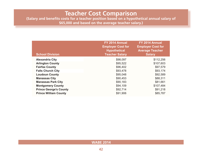### **Teacher Cost Comparison**

<span id="page-41-0"></span>**(Salary and benefits costs for a teacher position based on a hypothetical annual salary of \$65,000 and based on the average teacher salary.)**

| <b>School Division</b>        | FY 2014 Annual<br><b>Employer Cost for</b><br><b>Hypothetical</b><br><b>Teacher Salary</b> | FY 2014 Annual<br><b>Employer Cost for</b><br><b>Average Teacher</b><br><b>Salary</b> |
|-------------------------------|--------------------------------------------------------------------------------------------|---------------------------------------------------------------------------------------|
| <b>Alexandria City</b>        | \$98,097                                                                                   | \$112,256                                                                             |
| <b>Arlington County</b>       | \$95,522                                                                                   | \$107,603                                                                             |
| <b>Fairfax County</b>         | \$96,402                                                                                   | \$97,579                                                                              |
| <b>Falls Church City</b>      | \$93,478                                                                                   | \$93,174                                                                              |
| <b>Loudoun County</b>         | \$95,048                                                                                   | \$92,589                                                                              |
| <b>Manassas City</b>          | \$90,453                                                                                   | \$88,311                                                                              |
| <b>Manassas Park City</b>     | \$90,183                                                                                   | \$81,661                                                                              |
| <b>Montgomery County</b>      | \$94,109                                                                                   | \$107,484                                                                             |
| <b>Prince George's County</b> | \$92,714                                                                                   | \$91,218                                                                              |
| <b>Prince William County</b>  | \$91,906                                                                                   | \$85,787                                                                              |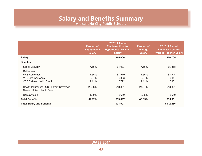### **Salary and Benefits Summary Alexandria City Public Schools**

<span id="page-42-0"></span>**Percent of Hypothetical Salary FY 2014 Annual Employer Cost for Hypothetical Teacher Salary Percent of Average Salary FY 2014 Annual Employer Cost for Average Teacher Salary Salary \$65,000 \$76,705 Benefits** Social Security 7.65% \$4,973 7.65% \$5,868 Retirement VRS Retirement 11.66% \$7,579 11.66% \$8,944 VRS Life Insurance 0.54% \$353 0.54% \$417 VRS Retiree Health Credit **1.11%** \$722 1.11% \$851 Health Insurance: POS - Family Coverage 28.96% \$18,821 24.54% \$18,821 Name: United Health Care Dental/Vision 1.00% \$650 0.85% \$650 **Total Benefits 52.92% \$33,097 46.35% \$35,551 Total Salary and Benefits \$98,097 \$112,256**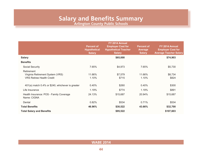**Arlington County Public Schools**

<span id="page-43-0"></span>

|                                                                                    | <b>Percent of</b><br><b>Hypothetical</b><br><b>Salary</b> | FY 2014 Annual<br><b>Employer Cost for</b><br><b>Hypothetical Teacher</b><br><b>Salary</b> | <b>Percent of</b><br>Average<br><b>Salary</b> | FY 2014 Annual<br><b>Employer Cost for</b><br><b>Average Teacher Salary</b> |
|------------------------------------------------------------------------------------|-----------------------------------------------------------|--------------------------------------------------------------------------------------------|-----------------------------------------------|-----------------------------------------------------------------------------|
| <b>Salary</b>                                                                      |                                                           | \$65,000                                                                                   |                                               | \$74,903                                                                    |
| <b>Benefits</b>                                                                    |                                                           |                                                                                            |                                               |                                                                             |
| Social Security                                                                    | 7.65%                                                     | \$4,973                                                                                    | 7.65%                                         | \$5,730                                                                     |
| Retirement<br>Virginia Retirement System (VRS)<br><b>VRS Retiree Health Credit</b> | 11.66%<br>1.10%                                           | \$7,579<br>\$715                                                                           | 11.66%<br>1.10%                               | \$8,734<br>\$824                                                            |
| 401(a) match 0.4% or \$240, whichever is greater                                   | 0.40%                                                     | \$260                                                                                      | 0.40%                                         | \$300                                                                       |
| Life Insurance                                                                     | 1.19%                                                     | \$774                                                                                      | 1.19%                                         | \$891                                                                       |
| Health Insurance: POS - Family Coverage<br>Name: CIGNA                             | 24.13%                                                    | \$15,687                                                                                   | 20.94%                                        | \$15,687                                                                    |
| Dental                                                                             | 0.82%                                                     | \$534                                                                                      | 0.71%                                         | \$534                                                                       |
| <b>Total Benefits</b>                                                              | 46.96%                                                    | \$30,522                                                                                   | 43.66%                                        | \$32,700                                                                    |
| <b>Total Salary and Benefits</b>                                                   |                                                           | \$95,522                                                                                   |                                               | \$107,603                                                                   |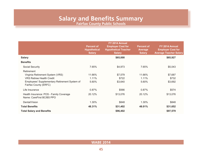**Fairfax County Public Schools**

<span id="page-44-0"></span>

|                                                                                                                                                              | <b>Percent of</b><br><b>Hypothetical</b><br><b>Salary</b> | FY 2014 Annual<br><b>Employer Cost for</b><br><b>Hypothetical Teacher</b><br><b>Salary</b> | <b>Percent of</b><br><b>Average</b><br><b>Salary</b> | FY 2014 Annual<br><b>Employer Cost for</b><br><b>Average Teacher Salary</b> |
|--------------------------------------------------------------------------------------------------------------------------------------------------------------|-----------------------------------------------------------|--------------------------------------------------------------------------------------------|------------------------------------------------------|-----------------------------------------------------------------------------|
| <b>Salary</b>                                                                                                                                                |                                                           | \$65,000                                                                                   |                                                      | \$65,927                                                                    |
| <b>Benefits</b>                                                                                                                                              |                                                           |                                                                                            |                                                      |                                                                             |
| Social Security                                                                                                                                              | 7.65%                                                     | \$4,973                                                                                    | 7.65%                                                | \$5,043                                                                     |
| Retirement<br>Virginia Retirement System (VRS)<br><b>VRS Retiree Health Credit</b><br>Employees' Supplementary Retirement System of<br>Fairfax County (ERFC) | 11.66%<br>$1.11\%$<br>5.60%                               | \$7,579<br>\$722<br>\$3,640                                                                | 11.66%<br>1.11%<br>5.60%                             | \$7,687<br>\$732<br>\$3,692                                                 |
| Life Insurance                                                                                                                                               | 0.87%                                                     | \$566                                                                                      | 0.87%                                                | \$574                                                                       |
| Health Insurance: POS - Family Coverage<br>Name: CareFirst BC/BS PPO                                                                                         | 20.12%                                                    | \$13,076                                                                                   | 20.12%                                               | \$13,076                                                                    |
| Dental/Vision                                                                                                                                                | 1.30%                                                     | \$848                                                                                      | 1.30%                                                | \$848                                                                       |
| <b>Total Benefits</b>                                                                                                                                        | 48.31%                                                    | \$31,402                                                                                   | 48.01%                                               | \$31,652                                                                    |
| <b>Total Salary and Benefits</b>                                                                                                                             |                                                           | \$96,402                                                                                   |                                                      | \$97,579                                                                    |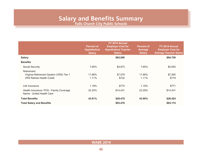### **Salary and Benefits Summary Falls Church City Public Schools**

<span id="page-45-0"></span>

|                                                                                           | <b>Percent of</b><br><b>Hypothetical</b><br><b>Salary</b> | FY 2014 Annual<br><b>Employer Cost for</b><br><b>Hypothetical Teacher</b><br><b>Salary</b> | <b>Percent of</b><br><b>Average</b><br><b>Salary</b> | FY 2014 Annual<br><b>Employer Cost for</b><br><b>Average Teacher Salary</b> |
|-------------------------------------------------------------------------------------------|-----------------------------------------------------------|--------------------------------------------------------------------------------------------|------------------------------------------------------|-----------------------------------------------------------------------------|
| <b>Salary</b>                                                                             |                                                           | \$65,000                                                                                   |                                                      | \$64,750                                                                    |
| <b>Benefits</b>                                                                           |                                                           |                                                                                            |                                                      |                                                                             |
| <b>Social Security</b>                                                                    | 7.65%                                                     | \$4,973                                                                                    | 7.65%                                                | \$4,953                                                                     |
| Retirement<br>Virginia Retirement System (VRS) Tier 1<br><b>VRS Retiree Health Credit</b> | 11.66%<br>1.11%                                           | \$7,579<br>\$722                                                                           | 11.66%<br>1.11%                                      | \$7,550<br>\$719                                                            |
| Life Insurance                                                                            | 1.19%                                                     | \$774                                                                                      | 1.19%                                                | \$771                                                                       |
| Health Insurance: POS - Family Coverage<br>Name: United Health Care                       | 22.20%                                                    | \$14,431                                                                                   | 22.29%                                               | \$14,431                                                                    |
| <b>Total Benefits</b>                                                                     | 43.81%                                                    | \$28,478                                                                                   | 43.90%                                               | \$28,424                                                                    |
| <b>Total Salary and Benefits</b>                                                          |                                                           | \$93,478                                                                                   |                                                      | \$93,174                                                                    |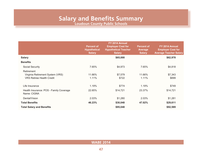**Loudoun County Public Schools**

<span id="page-46-0"></span>

|                                                                                    | <b>Percent of</b><br><b>Hypothetical</b><br><b>Salary</b> | FY 2014 Annual<br><b>Employer Cost for</b><br><b>Hypothetical Teacher</b><br><b>Salary</b> | <b>Percent of</b><br><b>Average</b><br><b>Salary</b> | FY 2014 Annual<br><b>Employer Cost for</b><br><b>Average Teacher Salary</b> |
|------------------------------------------------------------------------------------|-----------------------------------------------------------|--------------------------------------------------------------------------------------------|------------------------------------------------------|-----------------------------------------------------------------------------|
| <b>Salary</b>                                                                      |                                                           | \$65,000                                                                                   |                                                      | \$62,978                                                                    |
| <b>Benefits</b>                                                                    |                                                           |                                                                                            |                                                      |                                                                             |
| Social Security                                                                    | 7.65%                                                     | \$4,973                                                                                    | 7.65%                                                | \$4,818                                                                     |
| Retirement<br>Virginia Retirement System (VRS)<br><b>VRS Retiree Health Credit</b> | 11.66%<br>1.11%                                           | \$7,579<br>\$722                                                                           | 11.66%<br>1.11%                                      | \$7,343<br>\$699                                                            |
| Life Insurance                                                                     | 1.19%                                                     | \$774                                                                                      | 1.19%                                                | \$749                                                                       |
| Health Insurance: POS - Family Coverage<br>Name: CIGNA                             | 22.65%                                                    | \$14,721                                                                                   | 23.37%                                               | \$14,721                                                                    |
| Dental/Vision                                                                      | 2.03%                                                     | \$1,280                                                                                    | 2.03%                                                | \$1,281                                                                     |
| <b>Total Benefits</b>                                                              | 46.23%                                                    | \$30,048                                                                                   | 47.02%                                               | \$29,611                                                                    |
| <b>Total Salary and Benefits</b>                                                   |                                                           | \$95,048                                                                                   |                                                      | \$92,589                                                                    |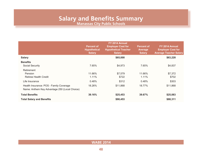**Manassas City Public Schools**

<span id="page-47-0"></span>

|                                               | <b>Percent of</b><br><b>Hypothetical</b><br><b>Salary</b> | FY 2014 Annual<br><b>Employer Cost for</b><br><b>Hypothetical Teacher</b><br><b>Salary</b> | <b>Percent of</b><br><b>Average</b><br><b>Salary</b> | FY 2014 Annual<br><b>Employer Cost for</b><br><b>Average Teacher Salary</b> |
|-----------------------------------------------|-----------------------------------------------------------|--------------------------------------------------------------------------------------------|------------------------------------------------------|-----------------------------------------------------------------------------|
| <b>Salary</b>                                 |                                                           | \$65,000                                                                                   |                                                      | \$63,228                                                                    |
| <b>Benefits</b>                               |                                                           |                                                                                            |                                                      |                                                                             |
| <b>Social Security</b>                        | 7.65%                                                     | \$4,973                                                                                    | 7.65%                                                | \$4,837                                                                     |
| Retirement                                    |                                                           |                                                                                            |                                                      |                                                                             |
| Pension                                       | 11.66%                                                    | \$7,579                                                                                    | 11.66%                                               | \$7,372                                                                     |
| <b>Retiree Health Credit</b>                  | 1.11%                                                     | \$722                                                                                      | 1.11%                                                | \$702                                                                       |
| Life Insurance                                | 0.48%                                                     | \$312                                                                                      | 0.48%                                                | \$303                                                                       |
| Health Insurance: POS - Family Coverage       | 18.26%                                                    | \$11,868                                                                                   | 18.77%                                               | \$11,868                                                                    |
| Name: Anthem Key Advantage 250 (Local Choice) |                                                           |                                                                                            |                                                      |                                                                             |
| <b>Total Benefits</b>                         | 39.16%                                                    | \$25,453                                                                                   | 39.67%                                               | \$25,083                                                                    |
| <b>Total Salary and Benefits</b>              |                                                           | \$90,453                                                                                   |                                                      | \$88,311                                                                    |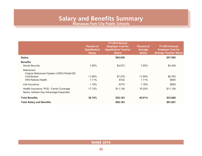### **Salary and Benefits Summary Manassas Park City Public Schools**

<span id="page-48-0"></span>**Percent of Hypothetical Salary FY 2014 Annual Employer Cost for Hypothetical Teacher Salary Percent of Average Salary FY 2014 Annual Employer Cost for Average Teacher Salary Salary \$65,000 \$57,993 Benefits** Social Security 7.65% \$4,973 7.65% \$4,436 Retirement Virginia Retirement System (VRS)+Partial EE Contribution 11.66% \$7,579 11.66% \$6,762 VRS Retiree Health **1.11% \$722** 1.11% \$644 Life Insurance 1.19% \$774 1.19% \$690 Health Insurance: POS - Family Coverage 17.13% \$11,136 19.20% \$11,136 Name: Anthem Key Advantage Expanded **Total Benefits 38.74% \$25,183 40.81% \$23,668 Total Salary and Benefits \$90,183 \$81,661**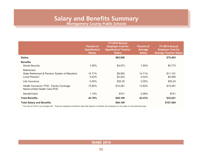**Montgomery County Public Schools**

<span id="page-49-0"></span>

|                                                                                           | <b>Percent of</b><br><b>Hypothetical</b><br><b>Salary</b> | FY 2014 Annual<br><b>Employer Cost for</b><br><b>Hypothetical Teacher</b><br><b>Salary</b> | <b>Percent of</b><br><b>Average</b><br><b>Salary</b> | FY 2014 Annual<br><b>Employer Cost for</b><br><b>Average Teacher Salary</b> |
|-------------------------------------------------------------------------------------------|-----------------------------------------------------------|--------------------------------------------------------------------------------------------|------------------------------------------------------|-----------------------------------------------------------------------------|
| <b>Salary</b>                                                                             |                                                           | \$65,000                                                                                   |                                                      | \$75,463                                                                    |
| <b>Benefits</b><br><b>Social Security</b>                                                 | 7.65%                                                     | \$4,973                                                                                    | 7.65%                                                | \$5,773                                                                     |
| Retirement<br>State Retirement & Pension System of Maryland<br>Local Pension <sup>1</sup> | 14.71%<br>5.42%                                           | \$9,562<br>\$3,523                                                                         | 14.71%<br>5.42%                                      | \$11,101<br>\$4,090                                                         |
| Life Insurance                                                                            | 0.05%                                                     | \$30.35                                                                                    | 0.05%                                                | \$35.23                                                                     |
| Health Insurance: POS - Family Coverage<br>Name: United Health Care POS                   | 15.82%                                                    | \$10,281                                                                                   | 13.62%                                               | \$10,281                                                                    |
| Dental/Vision                                                                             | 1.14%                                                     | \$741                                                                                      | 0.98%                                                | \$741                                                                       |
| <b>Total Benefits</b>                                                                     | 44.78%                                                    | \$29,109                                                                                   | 42.43%                                               | \$32,021                                                                    |
| <b>Total Salary and Benefits</b>                                                          |                                                           | \$94,109                                                                                   |                                                      | \$107,484                                                                   |

 $1$  The rate of 5.42% is an average rate. There are separate contribution rates that depend on whether the employee is in the state or local retirement plan.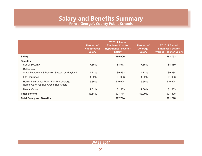**Prince George's County Public Schools**

<span id="page-50-0"></span>

|                                                                                   | <b>Percent of</b><br><b>Hypothetical</b><br><b>Salary</b> | FY 2014 Annual<br><b>Employer Cost for</b><br><b>Hypothetical Teacher</b><br><b>Salary</b> | <b>Percent of</b><br><b>Average</b><br><b>Salary</b> | FY 2014 Annual<br><b>Employer Cost for</b><br><b>Average Teacher Salary</b> |
|-----------------------------------------------------------------------------------|-----------------------------------------------------------|--------------------------------------------------------------------------------------------|------------------------------------------------------|-----------------------------------------------------------------------------|
| <b>Salary</b>                                                                     |                                                           | \$65,000                                                                                   |                                                      | \$63,793                                                                    |
| <b>Benefits</b>                                                                   |                                                           |                                                                                            |                                                      |                                                                             |
| Social Security                                                                   | 7.65%                                                     | \$4,973                                                                                    | 7.65%                                                | \$4,880                                                                     |
| Retirement                                                                        |                                                           |                                                                                            |                                                      |                                                                             |
| State Retirement & Pension System of Maryland                                     | 14.71%                                                    | \$9,562                                                                                    | 14.71%                                               | \$9,384                                                                     |
| Life Insurance                                                                    | 1.62%                                                     | \$1,053                                                                                    | 1.62%                                                | \$1,033                                                                     |
| Health Insurance: POS - Family Coverage<br>Name: Carefirst Blue Cross Blue Shield | 16.35%                                                    | \$10,624                                                                                   | 16.65%                                               | \$10,624                                                                    |
| Dental/Vision                                                                     | 2.31%                                                     | \$1,503                                                                                    | 2.36%                                                | \$1,503                                                                     |
| <b>Total Benefits</b>                                                             | 42.64%                                                    | \$27,714                                                                                   | 42.99%                                               | \$27,425                                                                    |
| <b>Total Salary and Benefits</b>                                                  |                                                           | \$92,714                                                                                   |                                                      | \$91,218                                                                    |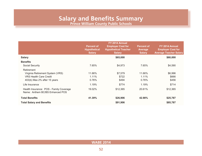**Prince William County Public Schools**

<span id="page-51-0"></span>

|                                                                            | <b>Percent of</b><br><b>Hypothetical</b><br><b>Salary</b> | FY 2014 Annual<br><b>Employer Cost for</b><br><b>Hypothetical Teacher</b><br><b>Salary</b> | <b>Percent of</b><br><b>Average</b><br><b>Salary</b> | FY 2014 Annual<br><b>Employer Cost for</b><br><b>Average Teacher Salary</b> |
|----------------------------------------------------------------------------|-----------------------------------------------------------|--------------------------------------------------------------------------------------------|------------------------------------------------------|-----------------------------------------------------------------------------|
| <b>Salary</b>                                                              |                                                           | \$65,000                                                                                   |                                                      | \$60,000                                                                    |
| <b>Benefits</b>                                                            | 7.65%                                                     |                                                                                            | 7.65%                                                |                                                                             |
| Social Security<br>Retirement                                              |                                                           | \$4,973                                                                                    |                                                      | \$4,590                                                                     |
| Virginia Retirement System (VRS)                                           | 11.66%                                                    | \$7,579                                                                                    | 11.66%                                               | \$6,996                                                                     |
| <b>VRS Health Care Credit</b>                                              | 1.11%                                                     | \$722                                                                                      | 1.11%                                                | \$666                                                                       |
| 403(b) Max 2% after 15 years                                               | 0.76%                                                     | \$494                                                                                      | $0.76\%$                                             | \$456                                                                       |
| Life Insurance                                                             | 1.19%                                                     | \$774                                                                                      | 1.19%                                                | \$714                                                                       |
| Health Insurance: POS - Family Coverage<br>Name: Anthem BC/BS Enhanced POS | 19.02%                                                    | \$12,365                                                                                   | 20.61%                                               | \$12,365                                                                    |
| <b>Total Benefits</b>                                                      | 41.39%                                                    | \$26,906                                                                                   | 42.98%                                               | \$25,787                                                                    |
| <b>Total Salary and Benefits</b>                                           |                                                           | \$91,906                                                                                   |                                                      | \$85,787                                                                    |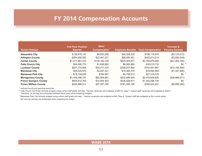# **FY 2014 Compensation Accounts**

<span id="page-52-0"></span>

| <b>School Division</b>        | <b>Full-Time Position</b><br><b>Salaries</b> | <b>Other</b><br>Compensation <sup>1</sup> | <b>Employee Benefits</b> | <b>Total Compensation</b> | <b>Turnover &amp;</b><br><b>Vacancy Savings</b> |
|-------------------------------|----------------------------------------------|-------------------------------------------|--------------------------|---------------------------|-------------------------------------------------|
| <b>Alexandria City</b>        | \$138,978,147                                | \$8.833.295                               | \$50,308,232             | \$198.119.674             | (\$3,123,412)                                   |
| <b>Arlington County</b>       | \$284,050,532                                | \$22,467,231                              | \$96,095,451             | \$402,613,214             | (\$3,580,349)                                   |
| <b>Fairfax County</b>         | \$1,417,687,470                              | \$126,182,748                             | \$623,005,877            | \$2,166,876,095           | (\$41,263,195)                                  |
| <b>Falls Church City</b>      | \$24,095,770                                 | \$1,830,980                               | \$8,583,960              | \$34,510,710              | \$0                                             |
| <b>Loudoun County</b>         | \$501,272,808                                | \$32,471,379                              | \$208,257,800            | \$742,001,987             | (\$12,184,366)                                  |
| <b>Manassas City</b>          | \$58.026.574                                 | \$2,557,321                               | \$18,362,370             | \$78,946,265              | (\$1,347,890)                                   |
| <b>Manassas Park City</b>     | \$19,758,000                                 | \$764.567                                 | \$6.796.812              | \$27,319,379              | \$0                                             |
| <b>Montgomery County</b>      | \$1,405,298,191                              | \$82,054,691                              | \$532,586,944            | \$2,019,939,826           | (\$26,866,071)                                  |
| <b>Prince George's County</b> | \$934,612,762                                | \$72,454,303                              | \$335,529,671            | \$1,342,596,736           | \$0                                             |
| <b>Prince William County</b>  | \$525,869,511                                | \$27,557,780                              | \$191,595,160            | \$745,022,451             | (\$9,685,292)                                   |

 $<sup>1</sup>$  Includes hourly and part-time accounts.</sup>

2 Falls Church City Public Schools budgets using current staff grade and step. Teacher vacancies are budgeted at MA+30, step 7; support staff vacancies are budgeted at Step 5. Therefore, no savings are anticipated between fiscal years when preparing budgets.

<sup>3</sup> Manassas Park City Schools budgets using current staff grade and step. Teacher vacancies are budgeted at MA, Step 4. Support staff are budgeted at the current salary. No turnover savings are anticipated when preparing the budget.